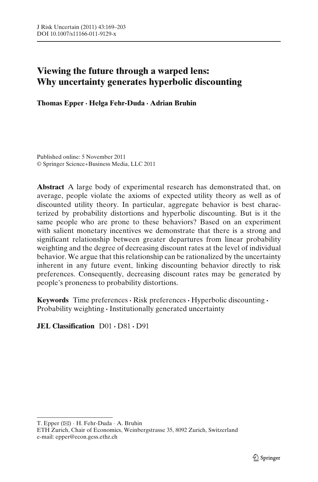# **Viewing the future through a warped lens: Why uncertainty generates hyperbolic discounting**

**Thomas Epper · Helga Fehr-Duda · Adrian Bruhin**

Published online: 5 November 2011 © Springer Science+Business Media, LLC 2011

**Abstract** A large body of experimental research has demonstrated that, on average, people violate the axioms of expected utility theory as well as of discounted utility theory. In particular, aggregate behavior is best characterized by probability distortions and hyperbolic discounting. But is it the same people who are prone to these behaviors? Based on an experiment with salient monetary incentives we demonstrate that there is a strong and significant relationship between greater departures from linear probability weighting and the degree of decreasing discount rates at the level of individual behavior. We argue that this relationship can be rationalized by the uncertainty inherent in any future event, linking discounting behavior directly to risk preferences. Consequently, decreasing discount rates may be generated by people's proneness to probability distortions.

**Keywords** Time preferences **·** Risk preferences **·** Hyperbolic discounting **·** Probability weighting **·** Institutionally generated uncertainty

**JEL Classification** D01 **·** D81 **·** D91

T. Epper (B) · H. Fehr-Duda · A. Bruhin

ETH Zurich, Chair of Economics, Weinbergstrasse 35, 8092 Zurich, Switzerland e-mail: epper@econ.gess.ethz.ch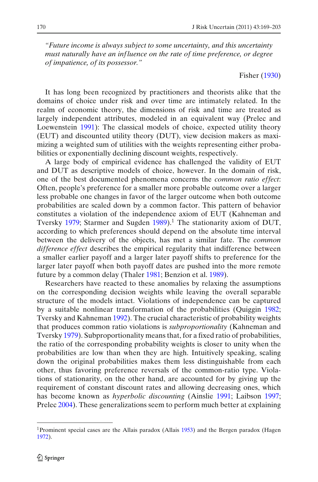*"Future income is always subject to some uncertainty, and this uncertainty must naturally have an inf luence on the rate of time preference, or degree of impatience, of its possessor."*

Fishe[r](#page-33-0) [\(1930](#page-33-0))

It has long been recognized by practitioners and theorists alike that the domains of choice under risk and over time are intimately related. In the realm of economic theory, the dimensions of risk and time are treated as largely independent attributes, modeled in an equivalent way (Prelec and Loewenstein [1991](#page-33-0)): The classical models of choice, expected utility theory (EUT) and discounted utility theory (DUT), view decision makers as maximizing a weighted sum of utilities with the weights representing either probabilities or exponentially declining discount weights, respectively.

A large body of empirical evidence has challenged the validity of EUT and DUT as descriptive models of choice, however. In the domain of risk, one of the best documented phenomena concerns the *common ratio effect*: Often, people's preference for a smaller more probable outcome over a larger less probable one changes in favor of the larger outcome when both outcome probabilities are scaled down by a common factor. This pattern of behavior constitutes a violation of the independence axiom of EUT (Kahneman and Tversk[y](#page-33-0) [1979;](#page-33-0) Starmer a[n](#page-34-0)d Sugden  $1989$ ).<sup>1</sup> The stationarity axiom of DUT, according to which preferences should depend on the absolute time interval between the delivery of the objects, has met a similar fate. The *common difference effect* describes the empirical regularity that indifference between a smaller earlier payoff and a larger later payoff shifts to preference for the larger later payoff when both payoff dates are pushed into the more remote futu[r](#page-34-0)e by a common delay (Thaler [1981](#page-34-0); Benzion et al[.](#page-32-0) [1989](#page-32-0)).

Researchers have reacted to these anomalies by relaxing the assumptions on the corresponding decision weights while leaving the overall separable structure of the models intact. Violations of independence can be captured by a suitable nonlinear transformation of the probabilities (Quiggi[n](#page-33-0) [1982;](#page-33-0) Tversky and Kahnema[n](#page-34-0) [1992](#page-34-0)). The crucial characteristic of probability weights that produces common ratio violations is *subproportionality* (Kahneman and Tversk[y](#page-33-0) [1979](#page-33-0)). Subproportionality means that, for a fixed ratio of probabilities, the ratio of the corresponding probability weights is closer to unity when the probabilities are low than when they are high. Intuitively speaking, scaling down the original probabilities makes them less distinguishable from each other, thus favoring preference reversals of the common-ratio type. Violations of stationarity, on the other hand, are accounted for by giving up the requirement of constant discount rates and allowing decreasing ones, which has become known as *hyperbolic discounting* (Ainsli[e](#page-32-0) [1991](#page-32-0); Laibso[n](#page-33-0) [1997;](#page-33-0) Prele[c](#page-33-0) [2004](#page-33-0)). These generalizations seem to perform much better at explaining

<sup>&</sup>lt;[s](#page-32-0)up>1</sup>Prominent special cases are the Allais paradox (Allais [1953\)](#page-32-0) a[n](#page-33-0)d the Bergen paradox (Hagen [1972](#page-33-0)).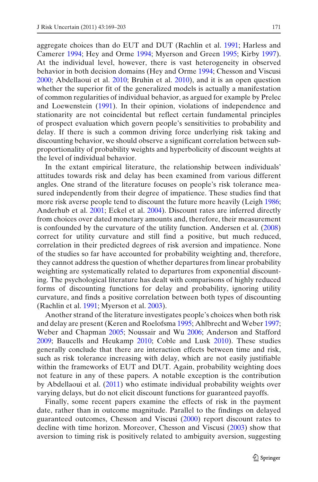aggregate choices than do EUT and DUT (Rachlin et al[.](#page-33-0) [1991;](#page-33-0) Harless and Camere[r](#page-33-0) [1994;](#page-33-0) Hey and Orm[e](#page-33-0) [1994](#page-33-0); Myerson and Gree[n](#page-33-0) [1995;](#page-33-0) Kirb[y](#page-33-0) [1997\)](#page-33-0). At the individual level, however, there is vast heterogeneity in observed behavior in both decision domains (Hey and Orm[e](#page-33-0) [1994](#page-33-0); Chesson and Viscus[i](#page-32-0) [2000](#page-32-0); Abdellaoui et al[.](#page-32-0) [2010;](#page-32-0) Bruhin et al[.](#page-32-0) [2010\)](#page-32-0), and it is an open question whether the superior fit of the generalized models is actually a manifestation of common regularities of individual behavior, as argued for example by Prelec and Loewenstei[n](#page-33-0) [\(1991\)](#page-33-0). In their opinion, violations of independence and stationarity are not coincidental but reflect certain fundamental principles of prospect evaluation which govern people's sensitivities to probability and delay. If there is such a common driving force underlying risk taking and discounting behavior, we should observe a significant correlation between subproportionality of probability weights and hyperbolicity of discount weights at the level of individual behavior.

In the extant empirical literature, the relationship between individuals' attitudes towards risk and delay has been examined from various different angles. One strand of the literature focuses on people's risk tolerance measured independently from their degree of impatience. These studies find that more risk averse people tend to discount the future more heavily (Leigh [1986;](#page-33-0) Anderhub et al. [2001](#page-32-0); Eckel et al. [2004\)](#page-32-0). Discount rates are inferred directly from choices over dated monetary amounts and, therefore, their measurement is confounded by the curvature of the utility function. Andersen et al[.](#page-32-0) [\(2008](#page-32-0)) correct for utility curvature and still find a positive, but much reduced, correlation in their predicted degrees of risk aversion and impatience. None of the studies so far have accounted for probability weighting and, therefore, they cannot address the question of whether departures from linear probability weighting are systematically related to departures from exponential discounting. The psychological literature has dealt with comparisons of highly reduced forms of discounting functions for delay and probability, ignoring utility curvature, and finds a positive correlation between both types of discounting (Rachlin et al[.](#page-33-0) [1991;](#page-33-0) Myerson et al[.](#page-33-0) [2003](#page-33-0)).

Another strand of the literature investigates people's choices when both risk and delay are present (Keren and Roelofsm[a](#page-33-0) [1995](#page-33-0); Ahlbrecht and Webe[r](#page-32-0) [1997;](#page-32-0) Weber and Chapma[n](#page-34-0) [2005;](#page-34-0) Noussair and W[u](#page-33-0) [2006;](#page-33-0) Anderson and Staffor[d](#page-32-0) [2009](#page-32-0); Baucells and Heukam[p](#page-32-0) [2010;](#page-32-0) Coble and Lus[k](#page-32-0) [2010\)](#page-32-0). These studies generally conclude that there are interaction effects between time and risk, such as risk tolerance increasing with delay, which are not easily justifiable within the frameworks of EUT and DUT. Again, probability weighting does not feature in any of these papers. A notable exception is the contribution by Abdellaoui et al[.](#page-32-0) [\(2011](#page-32-0)) who estimate individual probability weights over varying delays, but do not elicit discount functions for guaranteed payoffs.

Finally, some recent papers examine the effects of risk in the payment date, rather than in outcome magnitude. Parallel to the findings on delayed guaranteed outcomes, Chesson and Viscus[i](#page-32-0) [\(2000](#page-32-0)) report discount rates to decline with time horizon. Moreover, Chesson and Viscus[i](#page-32-0) [\(2003](#page-32-0)) show that aversion to timing risk is positively related to ambiguity aversion, suggesting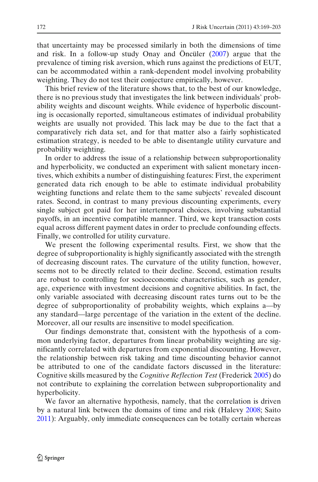that uncertainty may be processed similarly in both the dimensions of time and risk. In a follow-up study Onay and Öncüle[r](#page-33-0) [\(2007\)](#page-33-0) argue that the prevalence of timing risk aversion, which runs against the predictions of EUT, can be accommodated within a rank-dependent model involving probability weighting. They do not test their conjecture empirically, however.

This brief review of the literature shows that, to the best of our knowledge, there is no previous study that investigates the link between individuals' probability weights and discount weights. While evidence of hyperbolic discounting is occasionally reported, simultaneous estimates of individual probability weights are usually not provided. This lack may be due to the fact that a comparatively rich data set, and for that matter also a fairly sophisticated estimation strategy, is needed to be able to disentangle utility curvature and probability weighting.

In order to address the issue of a relationship between subproportionality and hyperbolicity, we conducted an experiment with salient monetary incentives, which exhibits a number of distinguishing features: First, the experiment generated data rich enough to be able to estimate individual probability weighting functions and relate them to the same subjects' revealed discount rates. Second, in contrast to many previous discounting experiments, every single subject got paid for her intertemporal choices, involving substantial payoffs, in an incentive compatible manner. Third, we kept transaction costs equal across different payment dates in order to preclude confounding effects. Finally, we controlled for utility curvature.

We present the following experimental results. First, we show that the degree of subproportionality is highly significantly associated with the strength of decreasing discount rates. The curvature of the utility function, however, seems not to be directly related to their decline. Second, estimation results are robust to controlling for socioeconomic characteristics, such as gender, age, experience with investment decisions and cognitive abilities. In fact, the only variable associated with decreasing discount rates turns out to be the degree of subproportionality of probability weights, which explains a—by any standard—large percentage of the variation in the extent of the decline. Moreover, all our results are insensitive to model specification.

Our findings demonstrate that, consistent with the hypothesis of a common underlying factor, departures from linear probability weighting are significantly correlated with departures from exponential discounting. However, the relationship between risk taking and time discounting behavior cannot be attributed to one of the candidate factors discussed in the literature: Cognitive skills measured by the *Cognitive Reflection Test* (Frederic[k](#page-33-0) [2005](#page-33-0)) do not contribute to explaining the correlation between subproportionality and hyperbolicity.

We favor an alternative hypothesis, namely, that the correlation is driven by a natural link between the domains of time and risk (Halev[y](#page-33-0) [2008](#page-33-0); Sait[o](#page-34-0) [2011](#page-34-0)): Arguably, only immediate consequences can be totally certain whereas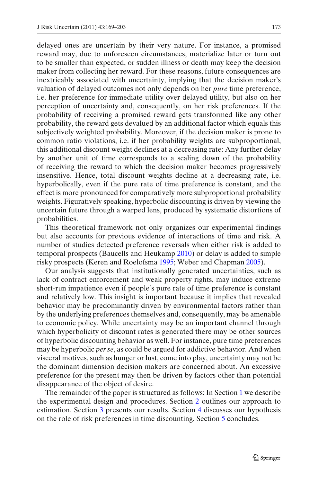delayed ones are uncertain by their very nature. For instance, a promised reward may, due to unforeseen circumstances, materialize later or turn out to be smaller than expected, or sudden illness or death may keep the decision maker from collecting her reward. For these reasons, future consequences are inextricably associated with uncertainty, implying that the decision maker's valuation of delayed outcomes not only depends on her *pure* time preference, i.e. her preference for immediate utility over delayed utility, but also on her perception of uncertainty and, consequently, on her risk preferences. If the probability of receiving a promised reward gets transformed like any other probability, the reward gets devalued by an additional factor which equals this subjectively weighted probability. Moreover, if the decision maker is prone to common ratio violations, i.e. if her probability weights are subproportional, this additional discount weight declines at a decreasing rate: Any further delay by another unit of time corresponds to a scaling down of the probability of receiving the reward to which the decision maker becomes progressively

insensitive. Hence, total discount weights decline at a decreasing rate, i.e. hyperbolically, even if the pure rate of time preference is constant, and the effect is more pronounced for comparatively more subproportional probability weights. Figuratively speaking, hyperbolic discounting is driven by viewing the uncertain future through a warped lens, produced by systematic distortions of probabilities.

This theoretical framework not only organizes our experimental findings but also accounts for previous evidence of interactions of time and risk. A number of studies detected preference reversals when either risk is added to temporal prospects (Baucells and Heukam[p](#page-32-0) [2010](#page-32-0)) or delay is added to simple risky prospects (Keren and Roelofsm[a](#page-33-0) [1995](#page-33-0); Weber and Chapma[n](#page-34-0) [2005\)](#page-34-0).

Our analysis suggests that institutionally generated uncertainties, such as lack of contract enforcement and weak property rights, may induce extreme short-run impatience even if people's pure rate of time preference is constant and relatively low. This insight is important because it implies that revealed behavior may be predominantly driven by environmental factors rather than by the underlying preferences themselves and, consequently, may be amenable to economic policy. While uncertainty may be an important channel through which hyperbolicity of discount rates is generated there may be other sources of hyperbolic discounting behavior as well. For instance, pure time preferences may be hyperbolic *per se*, as could be argued for addictive behavior. And when visceral motives, such as hunger or lust, come into play, uncertainty may not be the dominant dimension decision makers are concerned about. An excessive preference for the present may then be driven by factors other than potential disappearance of the object of desire.

The remainder of the paper is structured as follows: In Section [1](#page-5-0) we describe the experimental design and procedures. Section [2](#page-9-0) outlines our approach to estimation. Section [3](#page-12-0) presents our results. Section [4](#page-16-0) discusses our hypothesis on the role of risk preferences in time discounting. Section [5](#page-23-0) concludes.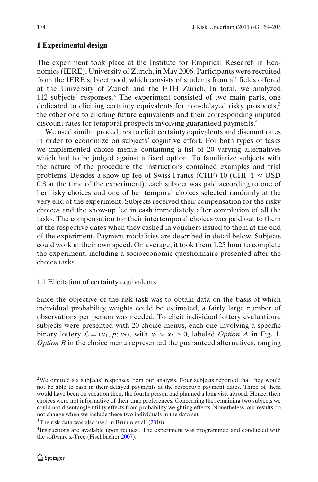# <span id="page-5-0"></span>**1 Experimental design**

The experiment took place at the Institute for Empirical Research in Economics (IERE), University of Zurich, in May 2006. Participants were recruited from the IERE subject pool, which consists of students from all fields offered at the University of Zurich and the ETH Zurich. In total, we analyzed 112 subjects' responses.<sup>2</sup> The experiment consisted of two main parts, one dedicated to eliciting certainty equivalents for non-delayed risky prospects,<sup>3</sup> the other one to eliciting future equivalents and their corresponding imputed discount rates for temporal prospects involving guaranteed payments.<sup>4</sup>

We used similar procedures to elicit certainty equivalents and discount rates in order to economize on subjects' cognitive effort. For both types of tasks we implemented choice menus containing a list of 20 varying alternatives which had to be judged against a fixed option. To familiarize subjects with the nature of the procedure the instructions contained examples and trial problems. Besides a show up fee of Swiss Francs (CHF) 10 (CHF  $1 \approx$  USD 0.8 at the time of the experiment), each subject was paid according to one of her risky choices and one of her temporal choices selected randomly at the very end of the experiment. Subjects received their compensation for the risky choices and the show-up fee in cash immediately after completion of all the tasks. The compensation for their intertemporal choices was paid out to them at the respective dates when they cashed in vouchers issued to them at the end of the experiment. Payment modalities are described in detail below. Subjects could work at their own speed. On average, it took them 1.25 hour to complete the experiment, including a socioeconomic questionnaire presented after the choice tasks.

# 1.1 Elicitation of certainty equivalents

Since the objective of the risk task was to obtain data on the basis of which individual probability weights could be estimated, a fairly large number of observations per person was needed. To elicit individual lottery evaluations, subjects were presented with 20 choice menus, each one involving a specific binary lottery  $\mathcal{L} = (x_1, p; x_2)$ , with  $x_1 > x_2 \ge 0$ , labeled *Option A* in Fig. [1.](#page-6-0) *Option B* in the choice menu represented the guaranteed alternatives, ranging

<sup>&</sup>lt;sup>2</sup>We omitted six subjects' responses from our analysis. Four subjects reported that they would not be able to cash in their delayed payments at the respective payment dates. Three of them would have been on vacation then, the fourth person had planned a long visit abroad. Hence, their choices were not informative of their time preferences. Concerning the remaining two subjects we could not disentangle utility effects from probability weighting effects. Nonetheless, our results do not change when we include these two individuals in the data set.

 $3$ The risk data was also used in Bruhin et al[.](#page-32-0)  $(2010)$  $(2010)$ .

<sup>4</sup>Instructions are available upon request. The experiment was programmed and conducted with the software z-Tree (Fischbache[r](#page-32-0) [2007](#page-32-0)).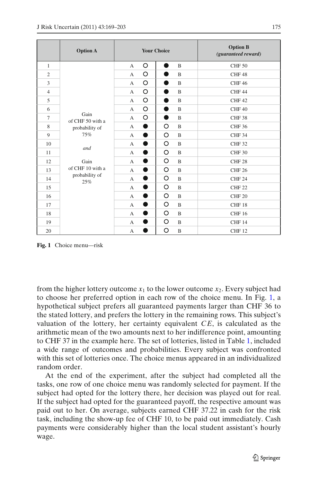<span id="page-6-0"></span>

|                | <b>Option A</b>          |        | <b>Your Choice</b> | <b>Option B</b><br>(guaranteed reward) |                   |
|----------------|--------------------------|--------|--------------------|----------------------------------------|-------------------|
| $\mathbf{1}$   |                          | O<br>A | $\mathbf B$        | CHF <sub>50</sub>                      |                   |
| $\overline{2}$ |                          |        | O<br>A             | B                                      | CHF <sub>48</sub> |
| 3              |                          | O<br>A | ۰<br>$\mathbf B$   | CHF <sub>46</sub>                      |                   |
| $\overline{4}$ |                          | O<br>A | æ<br>B             | CHF <sub>44</sub>                      |                   |
| 5              |                          | O<br>A | $\mathbf B$        | CHF42                                  |                   |
| 6              |                          | O<br>A | ●<br>$\mathbf B$   | CHF <sub>40</sub>                      |                   |
| $\tau$         | Gain<br>of CHF 50 with a | O<br>A | œ<br>B             | CHF <sub>38</sub>                      |                   |
| 8              | probability of           | A<br>D | O<br>$\mathbf B$   | <b>CHF 36</b>                          |                   |
| 9              | 75%                      | D<br>A | O<br>B             | CHF <sub>34</sub>                      |                   |
| 10             | and                      | A      | O<br>$\mathbf B$   | <b>CHF 32</b>                          |                   |
| 11             |                          | A<br>œ | O<br>B             | CHF 30                                 |                   |
| 12             | Gain                     | D<br>A | O<br>$\mathbf B$   | CHF <sub>28</sub>                      |                   |
| 13             | of CHF 10 with a         | A      | O<br>B             | <b>CHF 26</b>                          |                   |
| 14             | probability of<br>25%    | A      | O<br>$\mathbf B$   | CHF <sub>24</sub>                      |                   |
| 15             |                          | A<br>n | O<br>B             | CHF <sub>22</sub>                      |                   |
| 16             |                          | A      | O<br>$\mathbf{B}$  | CHF <sub>20</sub>                      |                   |
| 17             |                          | A<br>٠ | O<br>$\mathbf B$   | CHF <sub>18</sub>                      |                   |
| 18             |                          | n<br>A | O<br>B             | CHF <sub>16</sub>                      |                   |
| 19             |                          | A      | O<br>B             | CHF <sub>14</sub>                      |                   |
| 20             |                          | А      | O<br>$\mathbf B$   | CHF <sub>12</sub>                      |                   |

**Fig. 1** Choice menu—risk

from the higher lottery outcome  $x_1$  to the lower outcome  $x_2$ . Every subject had to choose her preferred option in each row of the choice menu. In Fig. 1, a hypothetical subject prefers all guaranteed payments larger than CHF 36 to the stated lottery, and prefers the lottery in the remaining rows. This subject's valuation of the lottery, her certainty equivalent *CE*, is calculated as the arithmetic mean of the two amounts next to her indifference point, amounting to CHF 37 in the example here. The set of lotteries, listed in Table [1,](#page-7-0) included a wide range of outcomes and probabilities. Every subject was confronted with this set of lotteries once. The choice menus appeared in an individualized random order.

At the end of the experiment, after the subject had completed all the tasks, one row of one choice menu was randomly selected for payment. If the subject had opted for the lottery there, her decision was played out for real. If the subject had opted for the guaranteed payoff, the respective amount was paid out to her. On average, subjects earned CHF 37.22 in cash for the risk task, including the show-up fee of CHF 10, to be paid out immediately. Cash payments were considerably higher than the local student assistant's hourly wage.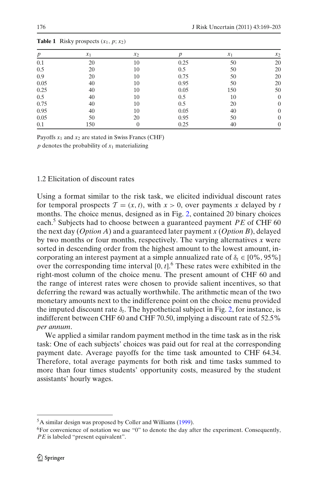| $\boldsymbol{p}$ | $x_1$ | $x_2$ |      | $x_1$ | $x_2$    |
|------------------|-------|-------|------|-------|----------|
| 0.1              | 20    | 10    | 0.25 | 50    | 20       |
| 0.5              | 20    | 10    | 0.5  | 50    | 20       |
| 0.9              | 20    | 10    | 0.75 | 50    | 20       |
| 0.05             | 40    | 10    | 0.95 | 50    | 20       |
| 0.25             | 40    | 10    | 0.05 | 150   | 50       |
| 0.5              | 40    | 10    | 0.5  | 10    | $\theta$ |
| 0.75             | 40    | 10    | 0.5  | 20    | 0        |
| 0.95             | 40    | 10    | 0.05 | 40    | 0        |
| 0.05             | 50    | 20    | 0.95 | 50    |          |
| 0.1              | 150   |       | 0.25 | 40    |          |
|                  |       |       |      |       |          |

<span id="page-7-0"></span>**Table 1** Risky prospects  $(x_1, p; x_2)$ 

Payoffs  $x_1$  and  $x_2$  are stated in Swiss Francs (CHF)  $p$  denotes the probability of  $x_1$  materializing

# 1.2 Elicitation of discount rates

Using a format similar to the risk task, we elicited individual discount rates for temporal prospects  $T = (x, t)$ , with  $x > 0$ , over payments x delayed by t months. The choice menus, designed as in Fig. [2,](#page-8-0) contained 20 binary choices each.<sup>5</sup> Subjects had to choose between a guaranteed payment *PE* of CHF 60 the next day (*Option A*) and a guaranteed later payment *x* (*Option B*), delayed by two months or four months, respectively. The varying alternatives *x* were sorted in descending order from the highest amount to the lowest amount, incorporating an interest payment at a simple annualized rate of  $\delta_t \in [0\%, 95\%]$ over the corresponding time interval [0, *t*]. <sup>6</sup> These rates were exhibited in the right-most column of the choice menu. The present amount of CHF 60 and the range of interest rates were chosen to provide salient incentives, so that deferring the reward was actually worthwhile. The arithmetic mean of the two monetary amounts next to the indifference point on the choice menu provided the imputed discount rate  $\delta_t$ . The hypothetical subject in Fig. [2,](#page-8-0) for instance, is indifferent between CHF 60 and CHF 70.50, implying a discount rate of 52.5% *per annum*.

We applied a similar random payment method in the time task as in the risk task: One of each subjects' choices was paid out for real at the corresponding payment date. Average payoffs for the time task amounted to CHF 64.34. Therefore, total average payments for both risk and time tasks summed to more than four times students' opportunity costs, measured by the student assistants' hourly wages.

<sup>5</sup>A similar design was proposed by Coller and William[s](#page-32-0) [\(1999](#page-32-0)).

 ${}^{6}$ For convenience of notation we use "0" to denote the day after the experiment. Consequently, *PE* is labeled "present equivalent".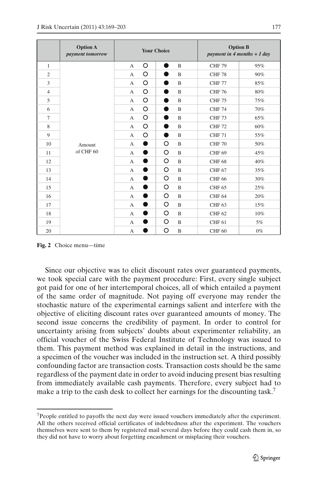<span id="page-8-0"></span>

|                | <b>Option A</b><br>payment tomorrow | <b>Your Choice</b> |   | <b>Option B</b><br>payment in 4 months $+ 1$ day |              |                   |       |
|----------------|-------------------------------------|--------------------|---|--------------------------------------------------|--------------|-------------------|-------|
| $\mathbf{1}$   |                                     | A                  | O |                                                  | B            | <b>CHF 79</b>     | 95%   |
| $\overline{2}$ |                                     | A                  | O | n                                                | $\mathbf B$  | CHF78             | 90%   |
| 3              |                                     | A                  | O | n                                                | B            | <b>CHF 77</b>     | 85%   |
| $\overline{4}$ |                                     | A                  | O |                                                  | B            | <b>CHF 76</b>     | 80%   |
| 5              |                                     | A                  | O | n                                                | $\mathbf B$  | CHF <sub>75</sub> | 75%   |
| 6              |                                     | A                  | O | n                                                | B            | <b>CHF 74</b>     | 70%   |
| $\tau$         |                                     | A                  | O |                                                  | B            | <b>CHF 73</b>     | 65%   |
| 8              |                                     | A                  | O | n                                                | $\mathbf B$  | <b>CHF72</b>      | 60%   |
| $\mathbf{Q}$   |                                     | A                  | O | o                                                | B            | <b>CHF 71</b>     | 55%   |
| 10             | Amount                              | A                  |   | O                                                | B            | <b>CHF 70</b>     | 50%   |
| 11             | of CHF 60                           | A                  | D | O                                                | $\mathbf B$  | CHF <sub>69</sub> | 45%   |
| 12             |                                     | A                  | n | O                                                | B            | <b>CHF68</b>      | 40%   |
| 13             |                                     | A                  |   | O                                                | $\mathbf{B}$ | <b>CHF 67</b>     | 35%   |
| 14             |                                     | A                  | D | O                                                | $\mathbf B$  | <b>CHF 66</b>     | 30%   |
| 15             |                                     | A                  | n | O                                                | B            | <b>CHF 65</b>     | 25%   |
| 16             |                                     | A                  |   | O                                                | B            | <b>CHF 64</b>     | 20%   |
| 17             |                                     | A                  | D | O                                                | $\mathbf B$  | CHF <sub>63</sub> | 15%   |
| 18             |                                     | A                  | n | O                                                | B            | <b>CHF 62</b>     | 10%   |
| 19             |                                     | A                  |   | O                                                | B            | CHF <sub>61</sub> | 5%    |
| 20             |                                     | А                  |   | O                                                | B            | CHF <sub>60</sub> | $0\%$ |

**Fig. 2** Choice menu—time

Since our objective was to elicit discount rates over guaranteed payments, we took special care with the payment procedure: First, every single subject got paid for one of her intertemporal choices, all of which entailed a payment of the same order of magnitude. Not paying off everyone may render the stochastic nature of the experimental earnings salient and interfere with the objective of eliciting discount rates over guaranteed amounts of money. The second issue concerns the credibility of payment. In order to control for uncertainty arising from subjects' doubts about experimenter reliability, an official voucher of the Swiss Federal Institute of Technology was issued to them. This payment method was explained in detail in the instructions, and a specimen of the voucher was included in the instruction set. A third possibly confounding factor are transaction costs. Transaction costs should be the same regardless of the payment date in order to avoid inducing present bias resulting from immediately available cash payments. Therefore, every subject had to make a trip to the cash desk to collect her earnings for the discounting task.<sup>7</sup>

 $7$ People entitled to payoffs the next day were issued vouchers immediately after the experiment. All the others received official certificates of indebtedness after the experiment. The vouchers themselves were sent to them by registered mail several days before they could cash them in, so they did not have to worry about forgetting encashment or misplacing their vouchers.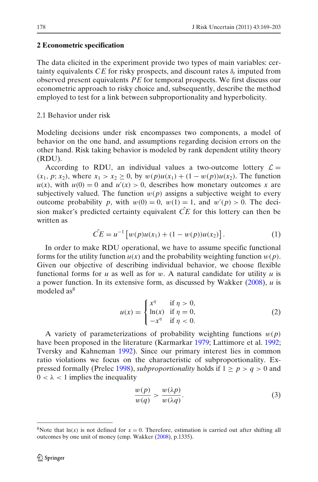# <span id="page-9-0"></span>**2 Econometric specification**

The data elicited in the experiment provide two types of main variables: certainty equivalents *CE* for risky prospects, and discount rates  $\delta_t$  imputed from observed present equivalents *PE* for temporal prospects. We first discuss our econometric approach to risky choice and, subsequently, describe the method employed to test for a link between subproportionality and hyperbolicity.

### 2.1 Behavior under risk

Modeling decisions under risk encompasses two components, a model of behavior on the one hand, and assumptions regarding decision errors on the other hand. Risk taking behavior is modeled by rank dependent utility theory (RDU).

According to RDU, an individual values a two-outcome lottery  $\mathcal{L} =$  $(x_1, p; x_2)$ , where  $x_1 > x_2 \ge 0$ , by  $w(p)u(x_1) + (1 - w(p))u(x_2)$ . The function  $u(x)$ , with  $u(0) = 0$  and  $u'(x) > 0$ , describes how monetary outcomes *x* are subjectively valued. The function  $w(p)$  assigns a subjective weight to every outcome probability p, with  $w(0) = 0$ ,  $w(1) = 1$ , and  $w'(p) > 0$ . The decision maker's predicted certainty equivalent  $\hat{CE}$  for this lottery can then be written as

$$
\hat{CE} = u^{-1} \left[ w(p)u(x_1) + (1 - w(p))u(x_2) \right]. \tag{1}
$$

In order to make RDU operational, we have to assume specific functional forms for the utility function  $u(x)$  and the probability weighting function  $w(p)$ . Given our objective of describing individual behavior, we choose flexible functional forms for  $u$  as well as for  $w$ . A natural candidate for utility  $u$  is a power function. In its extensive form, as discussed by Wakke[r](#page-34-0) [\(2008\)](#page-34-0), *u* is modeled as<sup>8</sup>

$$
u(x) = \begin{cases} x^{\eta} & \text{if } \eta > 0, \\ \ln(x) & \text{if } \eta = 0, \\ -x^{\eta} & \text{if } \eta < 0. \end{cases}
$$
 (2)

A variety of parameterizations of probability weighting functions  $w(p)$ have been proposed in the literature (Karmarka[r](#page-33-0) [1979](#page-33-0); Lattimore et al[.](#page-33-0) [1992;](#page-33-0) Tversky and Kahnema[n](#page-34-0) [1992\)](#page-34-0). Since our primary interest lies in common ratio violations we focus on the characteristic of subproportionality. Expressed formally (Prele[c](#page-33-0) [1998](#page-33-0)), *subproportionality* holds if  $1 \ge p > q > 0$  and  $0 < \lambda < 1$  implies the inequality

$$
\frac{w(p)}{w(q)} > \frac{w(\lambda p)}{w(\lambda q)}.\tag{3}
$$

<sup>&</sup>lt;sup>8</sup>Note that  $ln(x)$  is not defined for  $x = 0$ . Therefore, estimation is carried out after shifting all outcomes by one unit of money (cmp. Wakke[r](#page-34-0) [\(2008](#page-34-0)), p.1335).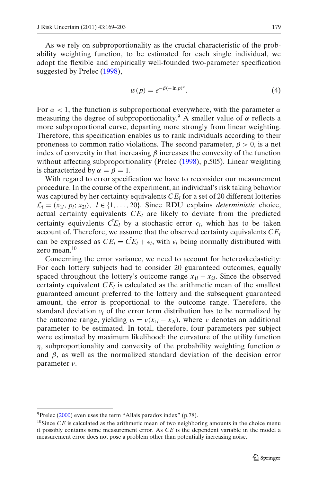As we rely on subproportionality as the crucial characteristic of the probability weighting function, to be estimated for each single individual, we adopt the flexible and empirically well-founded two-parameter specification suggested by Prele[c](#page-33-0) [\(1998](#page-33-0)),

$$
w(p) = e^{-\beta(-\ln p)^{\alpha}}.
$$
\n<sup>(4)</sup>

For  $\alpha$  < 1, the function is subproportional everywhere, with the parameter  $\alpha$ measuring the degree of subproportionality.<sup>9</sup> A smaller value of  $\alpha$  reflects a more subproportional curve, departing more strongly from linear weighting. Therefore, this specification enables us to rank individuals according to their proneness to common ratio violations. The second parameter,  $\beta > 0$ , is a net index of convexity in that increasing  $\beta$  increases the convexity of the function without affe[c](#page-33-0)ting subproportionality (Prelec [\(1998](#page-33-0)), p.505). Linear weighting is characterized by  $\alpha = \beta = 1$ .

With regard to error specification we have to reconsider our measurement procedure. In the course of the experiment, an individual's risk taking behavior was captured by her certainty equivalents  $CE_l$  for a set of 20 different lotteries  $\mathcal{L}_l = (x_{1l}, p_l; x_{2l}), l \in \{1, \ldots, 20\}$ . Since RDU explains *deterministic* choice, actual certainty equivalents  $CE_l$  are likely to deviate from the predicted certainty equivalents  $\hat{CE}_l$  by a stochastic error  $\epsilon_l$ , which has to be taken account of. Therefore, we assume that the observed certainty equivalents *CEl* can be expressed as  $CE_l = \hat{CE}_l + \epsilon_l$ , with  $\epsilon_l$  being normally distributed with zero mean $10$ 

Concerning the error variance, we need to account for heteroskedasticity: For each lottery subjects had to consider 20 guaranteed outcomes, equally spaced throughout the lottery's outcome range  $x_{1l} - x_{2l}$ . Since the observed certainty equivalent  $CE_l$  is calculated as the arithmetic mean of the smallest guaranteed amount preferred to the lottery and the subsequent guaranteed amount, the error is proportional to the outcome range. Therefore, the standard deviation  $v_l$  of the error term distribution has to be normalized by the outcome range, yielding  $v_l = v(x_{1l} - x_{2l})$ , where v denotes an additional parameter to be estimated. In total, therefore, four parameters per subject were estimated by maximum likelihood: the curvature of the utility function  $η$ , subproportionality and convexity of the probability weighting function  $α$ and  $\beta$ , as well as the normalized standard deviation of the decision error parameter ν.

 $^{9}$ Prele[c](#page-33-0) [\(2000](#page-33-0)) even uses the term "Allais paradox index" (p.78).

<sup>&</sup>lt;sup>10</sup>Since *CE* is calculated as the arithmetic mean of two neighboring amounts in the choice menu it possibly contains some measurement error. As *CE* is the dependent variable in the model a measurement error does not pose a problem other than potentially increasing noise.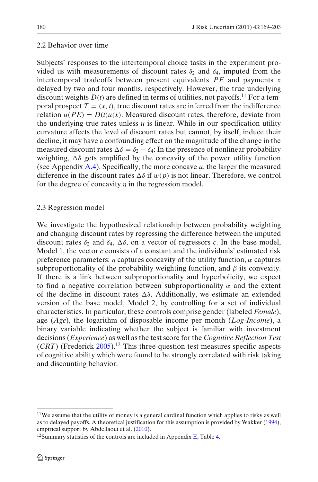# 2.2 Behavior over time

Subjects' responses to the intertemporal choice tasks in the experiment provided us with measurements of discount rates  $\delta_2$  and  $\delta_4$ , imputed from the intertemporal tradeoffs between present equivalents *PE* and payments *x* delayed by two and four months, respectively. However, the true underlying discount weights  $D(t)$  are defined in terms of utilities, not payoffs.<sup>11</sup> For a temporal prospect  $T = (x, t)$ , true discount rates are inferred from the indifference relation  $u(PE) = D(t)u(x)$ . Measured discount rates, therefore, deviate from the underlying true rates unless  $u$  is linear. While in our specification utility curvature affects the level of discount rates but cannot, by itself, induce their decline, it may have a confounding effect on the magnitude of the change in the measured discount rates  $\Delta \delta = \delta_2 - \delta_4$ : In the presence of nonlinear probability weighting,  $\Delta \delta$  gets amplified by the concavity of the power utility function (see Appendix  $\overline{A}$ .4). Specifically, the more concave *u*, the larger the measured difference in the discount rates  $\Delta \delta$  if  $w(p)$  is not linear. Therefore, we control for the degree of concavity  $\eta$  in the regression model.

# 2.3 Regression model

We investigate the hypothesized relationship between probability weighting and changing discount rates by regressing the difference between the imputed discount rates  $\delta_2$  and  $\delta_4$ ,  $\Delta \delta$ , on a vector of regressors *c*. In the base model, Model 1, the vector *c* consists of a constant and the individuals' estimated risk preference parameters:  $\eta$  captures concavity of the utility function,  $\alpha$  captures subproportionality of the probability weighting function, and  $\beta$  its convexity. If there is a link between subproportionality and hyperbolicity, we expect to find a negative correlation between subproportionality  $\alpha$  and the extent of the decline in discount rates  $\Delta \delta$ . Additionally, we estimate an extended version of the base model, Model 2, by controlling for a set of individual characteristics. In particular, these controls comprise gender (labeled *Female*), age (*Age*), the logarithm of disposable income per month (*Log-Income*), a binary variable indicating whether the subject is familiar with investment decisions (*Experience*) as well as the test score for the *Cognitive Reflection Test*  $(CRT)$  (Frederic[k](#page-33-0) [2005](#page-33-0)).<sup>12</sup> This three-question test measures specific aspects of cognitive ability which were found to be strongly correlated with risk taking and discounting behavior.

 $11$ We assume that the utility of money is a general cardinal function which applies to risky as well as to delayed payoffs. A theoretical justification for this assumption is provided by Wakke[r](#page-34-0) [\(1994](#page-34-0)), empirical support by Abdellaoui et al[.](#page-32-0) [\(2010\)](#page-32-0).

<sup>&</sup>lt;sup>12</sup>Summary statistics of the controls are included in Appendix [E,](#page-31-0) Table [4.](#page-31-0)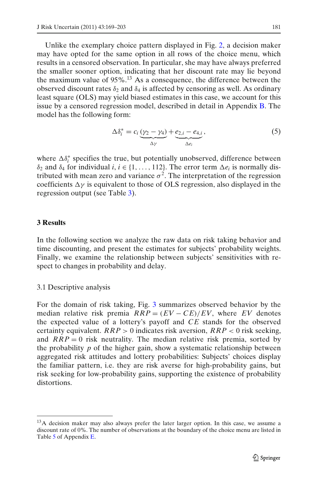<span id="page-12-0"></span>Unlike the exemplary choice pattern displayed in Fig. [2,](#page-8-0) a decision maker may have opted for the same option in all rows of the choice menu, which results in a censored observation. In particular, she may have always preferred the smaller sooner option, indicating that her discount rate may lie beyond the maximum value of  $95\%$ .<sup>13</sup> As a consequence, the difference between the observed discount rates  $\delta_2$  and  $\delta_4$  is affected by censoring as well. As ordinary least square (OLS) may yield biased estimates in this case, we account for this issue by a censored regression model, described in detail in Appendix [B.](#page-28-0) The model has the following form:

$$
\Delta \delta_i^* = c_i \underbrace{(\gamma_2 - \gamma_4)}_{\Delta \gamma} + \underbrace{e_{2,i} - e_{4,i}}_{\Delta e_i},
$$
\n(5)

where  $\Delta \delta_i^*$  specifies the true, but potentially unobserved, difference between  $\delta_2$  and  $\delta_4$  for individual *i*,  $i \in \{1, \ldots, 112\}$ . The error term  $\Delta e_i$  is normally distributed with mean zero and variance  $\sigma^2$ . The interpretation of the regression coefficients  $\Delta \gamma$  is equivalent to those of OLS regression, also displayed in the regression output (see Table [3\)](#page-15-0).

# **3 Results**

In the following section we analyze the raw data on risk taking behavior and time discounting, and present the estimates for subjects' probability weights. Finally, we examine the relationship between subjects' sensitivities with respect to changes in probability and delay.

#### 3.1 Descriptive analysis

For the domain of risk taking, Fig. [3](#page-13-0) summarizes observed behavior by the median relative risk premia  $RRP = (EV - CE)/EV$ , where *EV* denotes the expected value of a lottery's payoff and *CE* stands for the observed certainty equivalent. *RRP* > 0 indicates risk aversion, *RRP* < 0 risk seeking, and  $RRP = 0$  risk neutrality. The median relative risk premia, sorted by the probability *p* of the higher gain, show a systematic relationship between aggregated risk attitudes and lottery probabilities: Subjects' choices display the familiar pattern, i.e. they are risk averse for high-probability gains, but risk seeking for low-probability gains, supporting the existence of probability distortions.

<sup>&</sup>lt;sup>13</sup>A decision maker may also always prefer the later larger option. In this case, we assume a discount rate of 0%. The number of observations at the boundary of the choice menu are listed in Table [5](#page-32-0) of Appendix [E.](#page-31-0)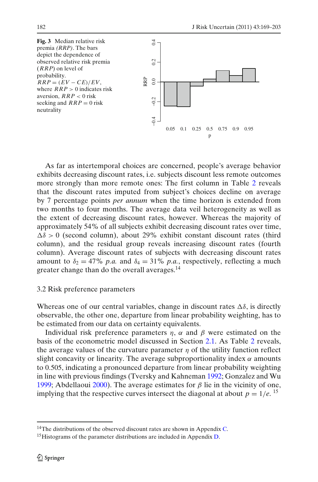<span id="page-13-0"></span>

As far as intertemporal choices are concerned, people's average behavior exhibits decreasing discount rates, i.e. subjects discount less remote outcomes more strongly than more remote ones: The first column in Table [2](#page-14-0) reveals that the discount rates imputed from subject's choices decline on average by 7 percentage points *per annum* when the time horizon is extended from two months to four months. The average data veil heterogeneity as well as the extent of decreasing discount rates, however. Whereas the majority of approximately 54% of all subjects exhibit decreasing discount rates over time,  $\Delta\delta$  > 0 (second column), about 29% exhibit constant discount rates (third column), and the residual group reveals increasing discount rates (fourth column). Average discount rates of subjects with decreasing discount rates amount to  $\delta_2 = 47\%$  *p.a.* and  $\delta_4 = 31\%$  *p.a.*, respectively, reflecting a much greater change than do the overall averages.<sup>14</sup>

# 3.2 Risk preference parameters

Whereas one of our central variables, change in discount rates  $\Delta \delta$ , is directly observable, the other one, departure from linear probability weighting, has to be estimated from our data on certainty equivalents.

Individual risk preference parameters  $\eta$ ,  $\alpha$  and  $\beta$  were estimated on the basis of the econometric model discussed in Section [2.1.](#page-9-0) As Table [2](#page-14-0) reveals, the average values of the curvature parameter  $\eta$  of the utility function reflect slight concavity or linearity. The average subproportionality index  $\alpha$  amounts to 0.505, indicating a pronounced departure from linear probability weighting in line with previous findings (Tversky and Kahnema[n](#page-34-0) [1992](#page-34-0); Gonzalez and W[u](#page-33-0) [1999](#page-33-0); Abdellaou[i](#page-32-0) [2000](#page-32-0)). The average estimates for  $\beta$  lie in the vicinity of one, implying that the respective curves intersect the diagonal at about  $p = 1/e$ . <sup>15</sup>

<sup>&</sup>lt;sup>14</sup>The distributions of the observed discount rates are shown in Appendix [C.](#page-30-0)

 $15$ Histograms of the parameter distributions are included in Appendix  $D$ .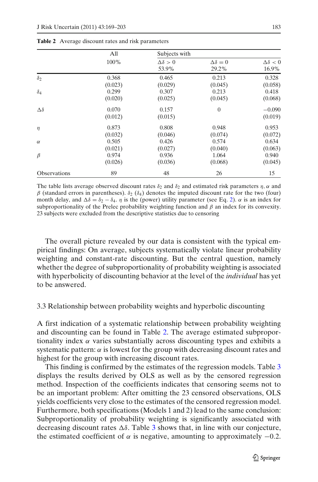|                     | All              | Subjects with             |                              |                             |
|---------------------|------------------|---------------------------|------------------------------|-----------------------------|
|                     | 100%             | $\Delta\delta>0$<br>53.9% | $\Delta \delta = 0$<br>29.2% | $\Delta\delta$ < 0<br>16.9% |
| $\delta_2$          | 0.368            | 0.465                     | 0.213                        | 0.328                       |
|                     | (0.023)          | (0.029)                   | (0.045)                      | (0.058)                     |
| $\delta_4$          | 0.299            | 0.307                     | 0.213                        | 0.418                       |
|                     | (0.020)          | (0.025)                   | (0.045)                      | (0.068)                     |
| $\Delta\delta$      | 0.070<br>(0.012) | 0.157<br>(0.015)          | $\overline{0}$               | $-0.090$<br>(0.019)         |
| $\eta$              | 0.873            | 0.808                     | 0.948                        | 0.953                       |
|                     | (0.032)          | (0.046)                   | (0.074)                      | (0.072)                     |
| $\alpha$            | 0.505            | 0.426                     | 0.574                        | 0.634                       |
|                     | (0.021)          | (0.027)                   | (0.040)                      | (0.063)                     |
| $\beta$             | 0.974            | 0.936                     | 1.064                        | 0.940                       |
|                     | (0.026)          | (0.036)                   | (0.068)                      | (0.045)                     |
| <b>Observations</b> | 89               | 48                        | 26                           | 15                          |

<span id="page-14-0"></span>**Table 2** Average discount rates and risk parameters

The table lists average observed discount rates  $\delta_2$  and  $\delta_2$  and estimated risk parameters  $\eta$ ,  $\alpha$  and  $β$  (standard errors in parentheses).  $δ<sub>2</sub> (δ<sub>4</sub>)$  denotes the imputed discount rate for the two (four) month delay, and  $\Delta \delta = \delta_2 - \delta_4$ . *η* is the (power) utility parameter (see Eq. [2\)](#page-9-0).  $\alpha$  is an index for subproportionality of the Prelec probability weighting function and  $\beta$  an index for its convexity. 23 subjects were excluded from the descriptive statistics due to censoring

The overall picture revealed by our data is consistent with the typical empirical findings: On average, subjects systematically violate linear probability weighting and constant-rate discounting. But the central question, namely whether the degree of subproportionality of probability weighting is associated with hyperbolicity of discounting behavior at the level of the *individual* has yet to be answered.

# 3.3 Relationship between probability weights and hyperbolic discounting

A first indication of a systematic relationship between probability weighting and discounting can be found in Table 2. The average estimated subproportionality index  $\alpha$  varies substantially across discounting types and exhibits a systematic pattern:  $\alpha$  is lowest for the group with decreasing discount rates and highest for the group with increasing discount rates.

This finding is confirmed by the estimates of the regression models. Table [3](#page-15-0) displays the results derived by OLS as well as by the censored regression method. Inspection of the coefficients indicates that censoring seems not to be an important problem: After omitting the 23 censored observations, OLS yields coefficients very close to the estimates of the censored regression model. Furthermore, both specifications (Models 1 and 2) lead to the same conclusion: Subproportionality of probability weighting is significantly associated with decreasing discount rates  $\Delta \delta$ . Table [3](#page-15-0) shows that, in line with our conjecture, the estimated coefficient of  $\alpha$  is negative, amounting to approximately  $-0.2$ .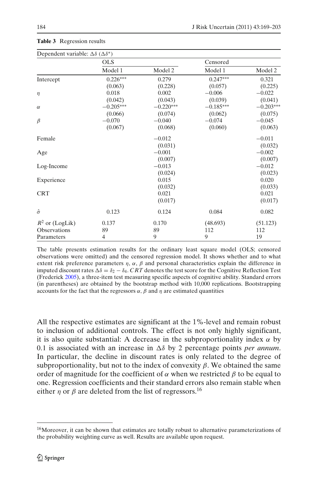| Dependent variable: $\Delta \delta$ ( $\Delta \delta^*$ ) |                |             |             |             |  |  |
|-----------------------------------------------------------|----------------|-------------|-------------|-------------|--|--|
|                                                           | <b>OLS</b>     |             | Censored    |             |  |  |
|                                                           | Model 1        | Model 2     | Model 1     | Model 2     |  |  |
| Intercept                                                 | $0.226***$     | 0.279       | $0.247***$  | 0.321       |  |  |
|                                                           | (0.063)        | (0.228)     | (0.057)     | (0.225)     |  |  |
| $\eta$                                                    | 0.018          | 0.002       | $-0.006$    | $-0.022$    |  |  |
|                                                           | (0.042)        | (0.043)     | (0.039)     | (0.041)     |  |  |
| $\alpha$                                                  | $-0.205***$    | $-0.220***$ | $-0.185***$ | $-0.203***$ |  |  |
|                                                           | (0.066)        | (0.074)     | (0.062)     | (0.075)     |  |  |
| $\beta$                                                   | $-0.070$       | $-0.040$    | $-0.074$    | $-0.045$    |  |  |
|                                                           | (0.067)        | (0.068)     | (0.060)     | (0.063)     |  |  |
| Female                                                    |                | $-0.012$    |             | $-0.011$    |  |  |
|                                                           |                | (0.031)     |             | (0.032)     |  |  |
| Age                                                       |                | $-0.001$    |             | $-0.002$    |  |  |
|                                                           |                | (0.007)     |             | (0.007)     |  |  |
| Log-Income                                                |                | $-0.013$    |             | $-0.012$    |  |  |
|                                                           |                | (0.024)     |             | (0.023)     |  |  |
| Experience                                                |                | 0.015       |             | 0.020       |  |  |
|                                                           |                | (0.032)     |             | (0.033)     |  |  |
| <b>CRT</b>                                                |                | 0.021       |             | 0.021       |  |  |
|                                                           |                | (0.017)     |             | (0.017)     |  |  |
| $\hat{\sigma}$                                            | 0.123          | 0.124       | 0.084       | 0.082       |  |  |
| $R^2$ or (LogLik)                                         | 0.137          | 0.170       | (48.693)    | (51.123)    |  |  |
| <b>Observations</b>                                       | 89             | 89          | 112         | 112         |  |  |
| Parameters                                                | $\overline{4}$ | 9           | 9           | 19          |  |  |

<span id="page-15-0"></span>

| <b>Table 3</b> Regression results |  |
|-----------------------------------|--|
|-----------------------------------|--|

The table presents estimation results for the ordinary least square model (OLS; censored observations were omitted) and the censored regression model. It shows whether and to what extent risk preference parameters  $\eta$ ,  $\alpha$ ,  $\beta$  and personal characteristics explain the difference in imputed discount rates  $\Delta \delta = \delta_2 - \delta_4$ . *CRT* denotes the test score for the Cognitive Reflection Test (Frederic[k](#page-33-0) [2005\)](#page-33-0), a three-item test measuring specific aspects of cognitive ability. Standard errors (in parentheses) are obtained by the bootstrap method with 10,000 replications. Bootstrapping accounts for the fact that the regressors  $\alpha$ ,  $\beta$  and  $\eta$  are estimated quantities

All the respective estimates are significant at the 1%-level and remain robust to inclusion of additional controls. The effect is not only highly significant, it is also quite substantial: A decrease in the subproportionality index  $\alpha$  by 0.1 is associated with an increase in  $\Delta\delta$  by 2 percentage points *per annum*. In particular, the decline in discount rates is only related to the degree of subproportionality, but not to the index of convexity  $\beta$ . We obtained the same order of magnitude for the coefficient of  $\alpha$  when we restricted  $\beta$  to be equal to one. Regression coefficients and their standard errors also remain stable when either  $\eta$  or  $\beta$  are deleted from the list of regressors.<sup>16</sup>

<sup>&</sup>lt;sup>16</sup>Moreover, it can be shown that estimates are totally robust to alternative parameterizations of the probability weighting curve as well. Results are available upon request.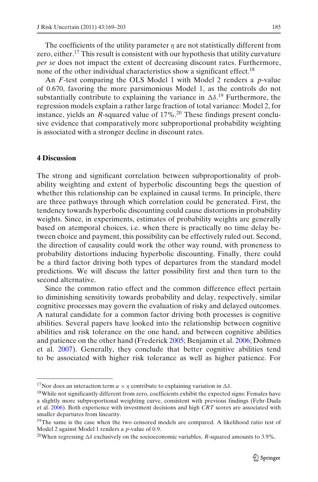<span id="page-16-0"></span>The coefficients of the utility parameter  $\eta$  are not statistically different from zero, either.<sup>17</sup> This result is consistent with our hypothesis that utility curvature *per se* does not impact the extent of decreasing discount rates. Furthermore, none of the other individual characteristics show a significant effect.<sup>18</sup>

An *F*-test comparing the OLS Model 1 with Model 2 renders a *p*-value of 0.670, favoring the more parsimonious Model 1, as the controls do not substantially contribute to explaining the variance in  $\Delta \delta$ .<sup>19</sup> Furthermore, the regression models explain a rather large fraction of total variance: Model 2, for instance, yields an  $\overline{R}$ -squared value of 17%.<sup>20</sup> These findings present conclusive evidence that comparatively more subproportional probability weighting is associated with a stronger decline in discount rates.

### **4 Discussion**

The strong and significant correlation between subproportionality of probability weighting and extent of hyperbolic discounting begs the question of whether this relationship can be explained in causal terms. In principle, there are three pathways through which correlation could be generated. First, the tendency towards hyperbolic discounting could cause distortions in probability weights. Since, in experiments, estimates of probability weights are generally based on atemporal choices, i.e. when there is practically no time delay between choice and payment, this possibility can be effectively ruled out. Second, the direction of causality could work the other way round, with proneness to probability distortions inducing hyperbolic discounting. Finally, there could be a third factor driving both types of departures from the standard model predictions. We will discuss the latter possibility first and then turn to the second alternative.

Since the common ratio effect and the common difference effect pertain to diminishing sensitivity towards probability and delay, respectively, similar cognitive processes may govern the evaluation of risky and delayed outcomes. A natural candidate for a common factor driving both processes is cognitive abilities. Several papers have looked into the relationship between cognitive abilities and risk tolerance on the one hand, and between cognitive abilities and patience on the other hand (Frederic[k](#page-33-0) [2005](#page-33-0); Benjamin et al[.](#page-32-0) [2006;](#page-32-0) Dohmen et al[.](#page-32-0) [2007](#page-32-0)). Generally, they conclude that better cognitive abilities tend to be associated with higher risk tolerance as well as higher patience. For

<sup>&</sup>lt;sup>17</sup>Nor does an interaction term  $\alpha \times \eta$  contribute to explaining variation in  $\Delta \delta$ .

<sup>&</sup>lt;sup>18</sup>While not significantly different from zero, coefficients exhibit the expected signs: Females have a slightly more subproportional weighting curve, consistent with previous findings (Fehr-Duda et al[.](#page-32-0) [2006\)](#page-32-0). Both experience with investment decisions and high *CRT* scores are associated with smaller departures from linearity.

<sup>&</sup>lt;sup>19</sup>The same is the case when the two censored models are compared. A likelihood ratio test of Model 2 against Model 1 renders a *p*-value of 0.9.

<sup>&</sup>lt;sup>20</sup>When regressing  $\Delta \delta$  exclusively on the socioeconomic variables, *R*-squared amounts to 3.9%.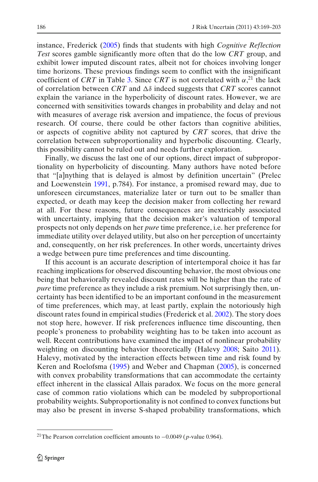instance, Frederic[k](#page-33-0) [\(2005](#page-33-0)) finds that students with high *Cognitive Reflection Test* scores gamble significantly more often that do the low *CRT* group, and exhibit lower imputed discount rates, albeit not for choices involving longer time horizons. These previous findings seem to conflict with the insignificant coefficient of *CRT* in Table [3.](#page-15-0) Since *CRT* is not correlated with  $\alpha$ <sup>21</sup>, the lack of correlation between *CRT* and  $\Delta\delta$  indeed suggests that *CRT* scores cannot explain the variance in the hyperbolicity of discount rates. However, we are concerned with sensitivities towards changes in probability and delay and not with measures of average risk aversion and impatience, the focus of previous research. Of course, there could be other factors than cognitive abilities, or aspects of cognitive ability not captured by *CRT* scores, that drive the correlation between subproportionality and hyperbolic discounting. Clearly, this possibility cannot be ruled out and needs further exploration.

Finally, we discuss the last one of our options, direct impact of subproportionality on hyperbolicity of discounting. Many authors have noted before that "[a]nything that is delayed is almost by definition uncertain" (Prelec and Loewenstei[n](#page-33-0) [1991,](#page-33-0) p.784). For instance, a promised reward may, due to unforeseen circumstances, materialize later or turn out to be smaller than expected, or death may keep the decision maker from collecting her reward at all. For these reasons, future consequences are inextricably associated with uncertainty, implying that the decision maker's valuation of temporal prospects not only depends on her *pure* time preference, i.e. her preference for immediate utility over delayed utility, but also on her perception of uncertainty and, consequently, on her risk preferences. In other words, uncertainty drives a wedge between pure time preferences and time discounting.

If this account is an accurate description of intertemporal choice it has far reaching implications for observed discounting behavior, the most obvious one being that behaviorally revealed discount rates will be higher than the rate of *pure* time preference as they include a risk premium. Not surprisingly then, uncertainty has been identified to be an important confound in the measurement of time preferences, which may, at least partly, explain the notoriously high discount rates found in empirical studies (Frederick et al[.](#page-33-0) [2002\)](#page-33-0). The story does not stop here, however. If risk preferences influence time discounting, then people's proneness to probability weighting has to be taken into account as well. Recent contributions have examined the impact of nonlinear probability weighting on discounting behavior theoreticall[y](#page-33-0) (Halevy [2008](#page-33-0); Sait[o](#page-34-0) [2011\)](#page-34-0). Halevy, motivated by the interaction effects between time and risk found by Keren and Roelofsm[a](#page-33-0) [\(1995](#page-33-0)) and Weber and Chapma[n](#page-34-0) [\(2005\)](#page-34-0), is concerned with convex probability transformations that can accommodate the certainty effect inherent in the classical Allais paradox. We focus on the more general case of common ratio violations which can be modeled by subproportional probability weights. Subproportionality is not confined to convex functions but may also be present in inverse S-shaped probability transformations, which

<sup>21</sup>The Pearson correlation coefficient amounts to −0.0049 (*p*-value 0.964).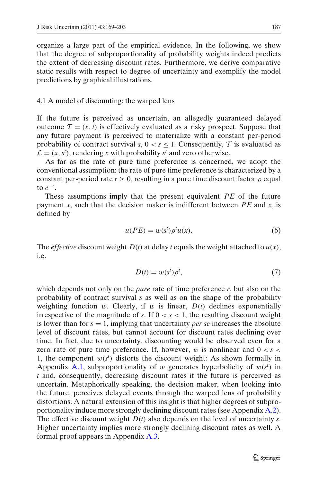<span id="page-18-0"></span>organize a large part of the empirical evidence. In the following, we show that the degree of subproportionality of probability weights indeed predicts the extent of decreasing discount rates. Furthermore, we derive comparative static results with respect to degree of uncertainty and exemplify the model predictions by graphical illustrations.

#### 4.1 A model of discounting: the warped lens

If the future is perceived as uncertain, an allegedly guaranteed delayed outcome  $\mathcal{T} = (x, t)$  is effectively evaluated as a risky prospect. Suppose that any future payment is perceived to materialize with a constant per-period probability of contract survival  $s, 0 < s \leq 1$ . Consequently, T is evaluated as  $\mathcal{L} = (x, s^t)$ , rendering *x* with probability  $s^t$  and zero otherwise.

As far as the rate of pure time preference is concerned, we adopt the conventional assumption: the rate of pure time preference is characterized by a constant per-period rate  $r \geq 0$ , resulting in a pure time discount factor  $\rho$  equal to  $e^{-r}$ .

These assumptions imply that the present equivalent *PE* of the future payment *x*, such that the decision maker is indifferent between *PE* and *x*, is defined by

$$
u(PE) = w(s^t) \rho^t u(x). \tag{6}
$$

The *effective* discount weight  $D(t)$  at delay *t* equals the weight attached to  $u(x)$ , i.e.

$$
D(t) = w(s^t) \rho^t,\tag{7}
$$

which depends not only on the *pure* rate of time preference *r*, but also on the probability of contract survival *s* as well as on the shape of the probability weighting function w. Clearly, if w is linear,  $D(t)$  declines exponentially irrespective of the magnitude of *s*. If  $0 < s < 1$ , the resulting discount weight is lower than for  $s = 1$ , implying that uncertainty *per se* increases the absolute level of discount rates, but cannot account for discount rates declining over time. In fact, due to uncertainty, discounting would be observed even for a zero rate of pure time preference. If, however, w is nonlinear and  $0 < s <$ 1, the component  $w(s^t)$  distorts the discount weight: As shown formally in Appendix [A.1,](#page-25-0) subproportionality of  $w$  generates hyperbolicity of  $w(s<sup>t</sup>)$  in *t* and, consequently, decreasing discount rates if the future is perceived as uncertain. Metaphorically speaking, the decision maker, when looking into the future, perceives delayed events through the warped lens of probability distortions. A natural extension of this insight is that higher degrees of subproportionality induce more strongly declining discount rates (see Appendix [A.2\)](#page-26-0). The effective discount weight *D*(*t*) also depends on the level of uncertainty *s*. Higher uncertainty implies more strongly declining discount rates as well. A formal proof appears in Appendix [A.3.](#page-27-0)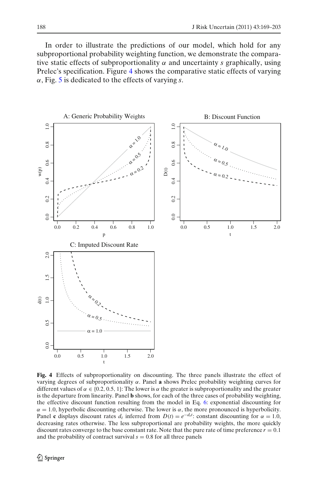<span id="page-19-0"></span>In order to illustrate the predictions of our model, which hold for any subproportional probability weighting function, we demonstrate the comparative static effects of subproportionality  $\alpha$  and uncertainty *s* graphically, using Prelec's specification. Figure 4 shows the comparative static effects of varying α, Fig. [5](#page-20-0) is dedicated to the effects of varying *s*.



**Fig. 4** Effects of subproportionality on discounting. The three panels illustrate the effect of varying degrees of subproportionality α. Panel **a** shows Prelec probability weighting curves for different values of  $\alpha \in \{0.2, 0.5, 1\}$ : The lower is  $\alpha$  the greater is subproportionality and the greater is the departure from linearity. Panel **b** shows, for each of the three cases of probability weighting, the effective discount function resulting from the model in Eq. [6:](#page-18-0) exponential discounting for  $\alpha = 1.0$ , hyperbolic discounting otherwise. The lower is  $\alpha$ , the more pronounced is hyperbolicity. Panel **c** displays discount rates  $d_t$  inferred from  $D(t) = e^{-dt}$ : constant discounting for  $\alpha = 1.0$ , decreasing rates otherwise. The less subproportional are probability weights, the more quickly discount rates converge to the base constant rate. Note that the pure rate of time preference  $r = 0.1$ and the probability of contract survival  $s = 0.8$  for all three panels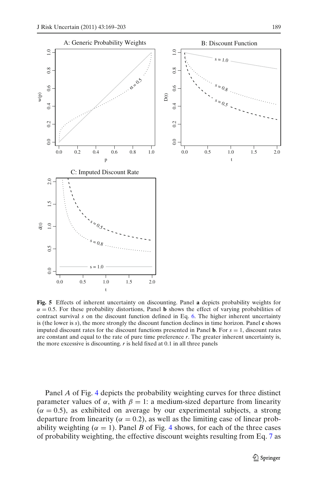<span id="page-20-0"></span>

**Fig. 5** Effects of inherent uncertainty on discounting. Panel **a** depicts probability weights for  $\alpha = 0.5$ . For these probability distortions, Panel **b** shows the effect of varying probabilities of contract survival *s* on the discount function defined in Eq. [6.](#page-18-0) The higher inherent uncertainty is (the lower is *s*), the more strongly the discount function declines in time horizon. Panel **c** shows imputed discount rates for the discount functions presented in Panel  $\bf{b}$ . For  $s = 1$ , discount rates are constant and equal to the rate of pure time preference *r*. The greater inherent uncertainty is, the more excessive is discounting. *r* is held fixed at 0.1 in all three panels

Panel *A* of Fig. [4](#page-19-0) depicts the probability weighting curves for three distinct parameter values of  $\alpha$ , with  $\beta = 1$ : a medium-sized departure from linearity  $(\alpha = 0.5)$ , as exhibited on average by our experimental subjects, a strong departure from linearity ( $\alpha = 0.2$ ), as well as the limiting case of linear probability weighting ( $\alpha = 1$ ). Panel *B* of Fig. [4](#page-19-0) shows, for each of the three cases of probability weighting, the effective discount weights resulting from Eq. [7](#page-18-0) as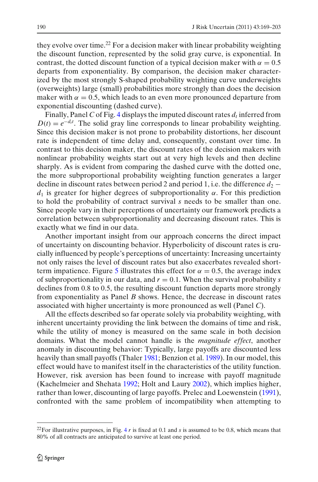they evolve over time.<sup>22</sup> For a decision maker with linear probability weighting the discount function, represented by the solid gray curve, is exponential. In contrast, the dotted discount function of a typical decision maker with  $\alpha = 0.5$ departs from exponentiality. By comparison, the decision maker characterized by the most strongly S-shaped probability weighting curve underweights (overweights) large (small) probabilities more strongly than does the decision maker with  $\alpha = 0.5$ , which leads to an even more pronounced departure from exponential discounting (dashed curve).

Finally, Panel *C* of Fig. [4](#page-19-0) displays the imputed discount rates  $d_t$  inferred from  $D(t) = e^{-d_t t}$ . The solid gray line corresponds to linear probability weighting. Since this decision maker is not prone to probability distortions, her discount rate is independent of time delay and, consequently, constant over time. In contrast to this decision maker, the discount rates of the decision makers with nonlinear probability weights start out at very high levels and then decline sharply. As is evident from comparing the dashed curve with the dotted one, the more subproportional probability weighting function generates a larger decline in discount rates between period 2 and period 1, i.e. the difference  $d_2$  −  $d_1$  is greater for higher degrees of subproportionality  $\alpha$ . For this prediction to hold the probability of contract survival *s* needs to be smaller than one. Since people vary in their perceptions of uncertainty our framework predicts a correlation between subproportionality and decreasing discount rates. This is exactly what we find in our data.

Another important insight from our approach concerns the direct impact of uncertainty on discounting behavior. Hyperbolicity of discount rates is crucially influenced by people's perceptions of uncertainty: Increasing uncertainty not only raises the level of discount rates but also exacerbates revealed short-term impatience. Figure [5](#page-20-0) illustrates this effect for  $\alpha = 0.5$ , the average index of subproportionality in our data, and  $r = 0.1$ . When the survival probability *s* declines from 0.8 to 0.5, the resulting discount function departs more strongly from exponentiality as Panel *B* shows. Hence, the decrease in discount rates associated with higher uncertainty is more pronounced as well (Panel *C*).

All the effects described so far operate solely via probability weighting, with inherent uncertainty providing the link between the domains of time and risk, while the utility of money is measured on the same scale in both decision domains. What the model cannot handle is the *magnitude effect*, another anomaly in discounting behavior: Typically, large payoffs are discounted less heavily than small payoffs (Thale[r](#page-34-0) [1981;](#page-34-0) Benzion et al[.](#page-32-0) [1989](#page-32-0)). In our model, this effect would have to manifest itself in the characteristics of the utility function. However, risk aversion has been found to increase with payoff magnitude (Kachelmeier and Shehat[a](#page-33-0) [1992](#page-33-0); Holt and Laur[y](#page-33-0) [2002](#page-33-0)), which implies higher, rather than lower, discounting of large payoffs. Prelec and Loewenstei[n](#page-33-0) [\(1991\)](#page-33-0), confronted with the same problem of incompatibility when attempting to

<sup>&</sup>lt;sup>22</sup>For illustrative purposes, in Fig. [4](#page-19-0)  $r$  is fixed at 0.1 and  $s$  is assumed to be 0.8, which means that 80% of all contracts are anticipated to survive at least one period.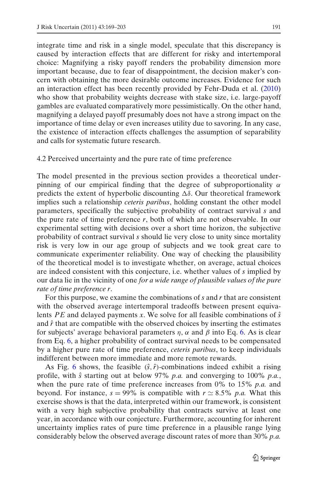integrate time and risk in a single model, speculate that this discrepancy is caused by interaction effects that are different for risky and intertemporal choice: Magnifying a risky payoff renders the probability dimension more important because, due to fear of disappointment, the decision maker's concern with obtaining the more desirable outcome increases. Evidence for such an interaction effect has been recently provided by Fehr-Duda et al[.](#page-32-0) [\(2010](#page-32-0)) who show that probability weights decrease with stake size, i.e. large-payoff gambles are evaluated comparatively more pessimistically. On the other hand, magnifying a delayed payoff presumably does not have a strong impact on the importance of time delay or even increases utility due to savoring. In any case, the existence of interaction effects challenges the assumption of separability and calls for systematic future research.

#### 4.2 Perceived uncertainty and the pure rate of time preference

The model presented in the previous section provides a theoretical underpinning of our empirical finding that the degree of subproportionality  $\alpha$ predicts the extent of hyperbolic discounting  $\Delta \delta$ . Our theoretical framework implies such a relationship *ceteris paribus*, holding constant the other model parameters, specifically the subjective probability of contract survival *s* and the pure rate of time preference *r*, both of which are not observable. In our experimental setting with decisions over a short time horizon, the subjective probability of contract survival *s* should lie very close to unity since mortality risk is very low in our age group of subjects and we took great care to communicate experimenter reliability. One way of checking the plausibility of the theoretical model is to investigate whether, on average, actual choices are indeed consistent with this conjecture, i.e. whether values of *s* implied by our data lie in the vicinity of one *for a wide range of plausible values of the pure rate of time preference r*.

For this purpose, we examine the combinations of *s* and *r* that are consistent with the observed average intertemporal tradeoffs between present equivalents *PE* and delayed payments *x*. We solve for all feasible combinations of *s*ˆ and  $\hat{r}$  that are compatible with the observed choices by inserting the estimates for subjects' average behavioral parameters  $\eta$ ,  $\alpha$  and  $\beta$  into Eq. [6.](#page-18-0) As is clear from Eq. [6,](#page-18-0) a higher probability of contract survival needs to be compensated by a higher pure rate of time preference, *ceteris paribus*, to keep individuals indifferent between more immediate and more remote rewards.

As Fig. [6](#page-23-0) shows, the feasible  $(\hat{s}, \hat{r})$ -combinations indeed exhibit a rising profile, with *s*ˆ starting out at below 97% *p.a.* and converging to 100% *p.a.*, when the pure rate of time preference increases from 0% to 15% *p.a.* and beyond. For instance,  $s = 99\%$  is compatible with  $r \approx 8.5\%$  p.a. What this exercise shows is that the data, interpreted within our framework, is consistent with a very high subjective probability that contracts survive at least one year, in accordance with our conjecture. Furthermore, accounting for inherent uncertainty implies rates of pure time preference in a plausible range lying considerably below the observed average discount rates of more than 30% *p.a.*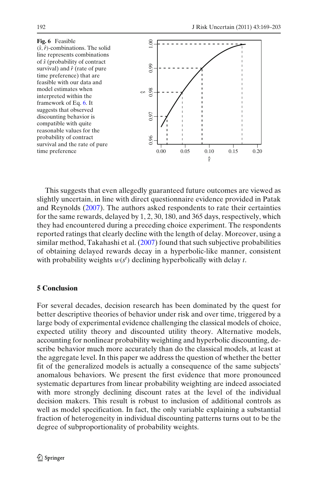<span id="page-23-0"></span>

This suggests that even allegedly guaranteed future outcomes are viewed as slightly uncertain, in line with direct questionnaire evidence provided in Patak and Reynold[s](#page-33-0) [\(2007](#page-33-0)). The authors asked respondents to rate their certainties for the same rewards, delayed by 1, 2, 30, 180, and 365 days, respectively, which they had encountered during a preceding choice experiment. The respondents reported ratings that clearly decline with the length of delay. Moreover, using a similar method, Takahashi et al[.](#page-34-0) [\(2007](#page-34-0)) found that such subjective probabilities of obtaining delayed rewards decay in a hyperbolic-like manner, consistent with probability weights  $w(s^t)$  declining hyperbolically with delay *t*.

# **5 Conclusion**

For several decades, decision research has been dominated by the quest for better descriptive theories of behavior under risk and over time, triggered by a large body of experimental evidence challenging the classical models of choice, expected utility theory and discounted utility theory. Alternative models, accounting for nonlinear probability weighting and hyperbolic discounting, describe behavior much more accurately than do the classical models, at least at the aggregate level. In this paper we address the question of whether the better fit of the generalized models is actually a consequence of the same subjects' anomalous behaviors. We present the first evidence that more pronounced systematic departures from linear probability weighting are indeed associated with more strongly declining discount rates at the level of the individual decision makers. This result is robust to inclusion of additional controls as well as model specification. In fact, the only variable explaining a substantial fraction of heterogeneity in individual discounting patterns turns out to be the degree of subproportionality of probability weights.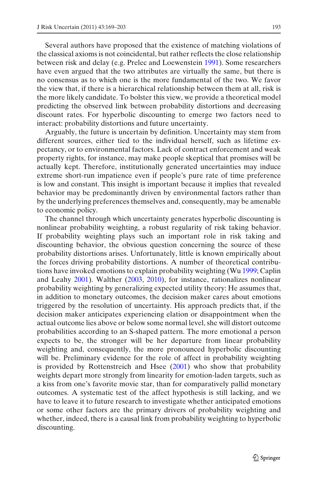Several authors have proposed that the existence of matching violations of the classical axioms is not coincidental, but rather reflects the close relationship between risk and delay (e.g. Prelec and Loewenstei[n](#page-33-0) [1991\)](#page-33-0). Some researchers have even argued that the two attributes are virtually the same, but there is no consensus as to which one is the more fundamental of the two. We favor the view that, if there is a hierarchical relationship between them at all, risk is the more likely candidate. To bolster this view, we provide a theoretical model predicting the observed link between probability distortions and decreasing discount rates. For hyperbolic discounting to emerge two factors need to interact: probability distortions and future uncertainty.

Arguably, the future is uncertain by definition. Uncertainty may stem from different sources, either tied to the individual herself, such as lifetime expectancy, or to environmental factors. Lack of contract enforcement and weak property rights, for instance, may make people skeptical that promises will be actually kept. Therefore, institutionally generated uncertainties may induce extreme short-run impatience even if people's pure rate of time preference is low and constant. This insight is important because it implies that revealed behavior may be predominantly driven by environmental factors rather than by the underlying preferences themselves and, consequently, may be amenable to economic policy.

The channel through which uncertainty generates hyperbolic discounting is nonlinear probability weighting, a robust regularity of risk taking behavior. If probability weighting plays such an important role in risk taking and discounting behavior, the obvious question concerning the source of these probability distortions arises. Unfortunately, little is known empirically about the forces driving probability distortions. A number of theoretical contributions have invoked emotions to explain probability weighting (W[u](#page-34-0) [1999](#page-34-0); Caplin and Leah[y](#page-32-0) [2001\)](#page-32-0). Walthe[r](#page-34-0) [\(2003,](#page-34-0) [2010](#page-34-0)), for instance, rationalizes nonlinear probability weighting by generalizing expected utility theory: He assumes that, in addition to monetary outcomes, the decision maker cares about emotions triggered by the resolution of uncertainty. His approach predicts that, if the decision maker anticipates experiencing elation or disappointment when the actual outcome lies above or below some normal level, she will distort outcome probabilities according to an S-shaped pattern. The more emotional a person expects to be, the stronger will be her departure from linear probability weighting and, consequently, the more pronounced hyperbolic discounting will be. Preliminary evidence for the role of affect in probability weighting is provided by Rottenstreich and Hse[e](#page-34-0) [\(2001\)](#page-34-0) who show that probability weights depart more strongly from linearity for emotion-laden targets, such as a kiss from one's favorite movie star, than for comparatively pallid monetary outcomes. A systematic test of the affect hypothesis is still lacking, and we have to leave it to future research to investigate whether anticipated emotions or some other factors are the primary drivers of probability weighting and whether, indeed, there is a causal link from probability weighting to hyperbolic discounting.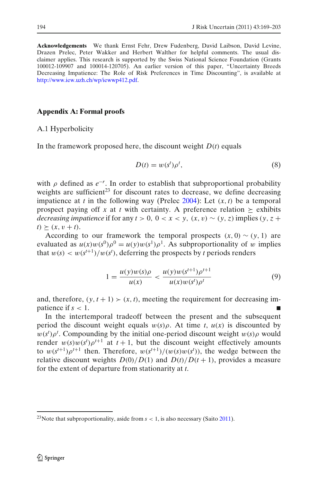<span id="page-25-0"></span>**Acknowledgements** We thank Ernst Fehr, Drew Fudenberg, David Laibson, David Levine, Drazen Prelec, Peter Wakker and Herbert Walther for helpful comments. The usual disclaimer applies. This research is supported by the Swiss National Science Foundation (Grants 100012-109907 and 100014-120705). An earlier version of this paper, "Uncertainty Breeds Decreasing Impatience: The Role of Risk Preferences in Time Discounting", is available at [http://www.iew.uzh.ch/wp/iewwp412.pdf.](http://www.iew.uzh.ch/wp/iewwp412.pdf)

# **Appendix A: Formal proofs**

# A.1 Hyperbolicity

In the framework proposed here, the discount weight  $D(t)$  equals

$$
D(t) = w(s^t) \rho^t,\tag{8}
$$

with  $\rho$  defined as  $e^{-r}$ . In order to establish that subproportional probability weights are sufficient<sup>23</sup> for discount rates to decrease, we define decreasing impatien[c](#page-33-0)e at *t* in the following way (Prelec [2004](#page-33-0)): Let  $(x, t)$  be a temporal prospect paying off *x* at *t* with certainty. A preference relation  $\geq$  exhibits *decreasing impatience* if for any  $t > 0$ ,  $0 < x < y$ ,  $(x, y) \sim (y, z)$  implies  $(y, z +$  $t$   $> (x, v + t)$ .

According to our framework the temporal prospects  $(x, 0) \sim (y, 1)$  are evaluated as  $u(x)w(s^0)\rho^0 = u(y)w(s^1)\rho^1$ . As subproportionality of w implies that  $w(s) < w(s^{t+1})/w(s^t)$ , deferring the prospects by *t* periods renders

$$
1 = \frac{u(y)w(s)\rho}{u(x)} < \frac{u(y)w(s^{t+1})\rho^{t+1}}{u(x)w(s^t)\rho^t} \tag{9}
$$

and, therefore,  $(y, t + 1) \succ (x, t)$ , meeting the requirement for decreasing impatience if  $s < 1$ .

In the intertemporal tradeoff between the present and the subsequent period the discount weight equals  $w(s)\rho$ . At time *t*,  $u(x)$  is discounted by  $w(s<sup>t</sup>)\rho<sup>t</sup>$ . Compounding by the initial one-period discount weight  $w(s)\rho$  would render  $w(s)w(s^t)\rho^{t+1}$  at  $t+1$ , but the discount weight effectively amounts to  $w(s^{t+1})\rho^{t+1}$  then. Therefore,  $w(s^{t+1})/(w(s)w(s^t))$ , the wedge between the relative discount weights  $D(0)/D(1)$  and  $D(t)/D(t+1)$ , provides a measure for the extent of departure from stationarity at *t*.

<sup>&</sup>lt;sup>23</sup>N[o](#page-34-0)te that subproportionality, aside from  $s < 1$ , is also necessary (Saito [2011](#page-34-0)).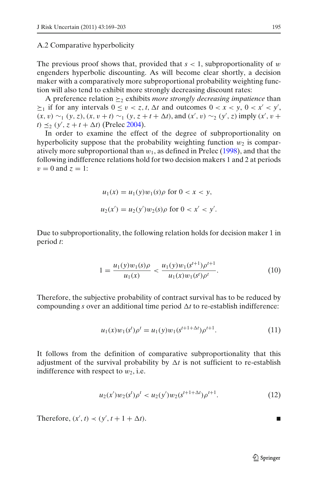### <span id="page-26-0"></span>A.2 Comparative hyperbolicity

The previous proof shows that, provided that  $s < 1$ , subproportionality of w engenders hyperbolic discounting. As will become clear shortly, a decision maker with a comparatively more subproportional probability weighting function will also tend to exhibit more strongly decreasing discount rates:

A preference relation  $\geq_2$  exhibits *more strongly decreasing impatience* than  $\geq_1$  if for any intervals  $0 \leq v < z, t, \Delta t$  and outcomes  $0 < x < y, 0 < x' < y'$ ,  $(x, v)$  ∼<sub>1</sub> (*y*, *z*),  $(x, v + t)$  ∼<sub>1</sub> (*y*, *z* + *t* + ∆*t*), and  $(x', v)$  ∼<sub>2</sub> (*y'*, *z*) imply (*x'*, *v* +  $t) \leq_2 (y', z + t + \Delta t)$  (Prele[c](#page-33-0) [2004](#page-33-0)).

In order to examine the effect of the degree of subproportionality on hyperbolicity suppose that the probability weighting function  $w_2$  is comparatively more subproportional than  $w_1$ , as defined in Prele[c](#page-33-0) [\(1998\)](#page-33-0), and that the following indifference relations hold for two decision makers 1 and 2 at periods  $v = 0$  and  $z = 1$ :

$$
u_1(x) = u_1(y)w_1(s)\rho \text{ for } 0 < x < y,
$$
\n
$$
u_2(x') = u_2(y')w_2(s)\rho \text{ for } 0 < x' < y'.
$$

Due to subproportionality, the following relation holds for decision maker 1 in period *t*:

$$
1 = \frac{u_1(y)w_1(s)\rho}{u_1(x)} < \frac{u_1(y)w_1(s^{t+1})\rho^{t+1}}{u_1(x)w_1(s^t)\rho^t}.\tag{10}
$$

Therefore, the subjective probability of contract survival has to be reduced by compounding *s* over an additional time period  $\Delta t$  to re-establish indifference:

$$
u_1(x)w_1(s^t)\rho^t = u_1(y)w_1(s^{t+1+\Delta t})\rho^{t+1}.
$$
\n(11)

It follows from the definition of comparative subproportionality that this adjustment of the survival probability by  $\Delta t$  is not sufficient to re-establish indifference with respect to  $w_2$ , i.e.

$$
u_2(x')w_2(s^t)\rho^t < u_2(y')w_2(s^{t+1+\Delta t})\rho^{t+1}.\tag{12}
$$

Therefore,  $(x', t) \prec (y', t + 1 + \Delta t)$ .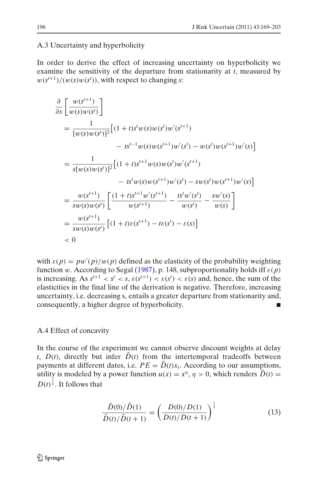### <span id="page-27-0"></span>A.3 Uncertainty and hyperbolicity

In order to derive the effect of increasing uncertainty on hyperbolicity we examine the sensitivity of the departure from stationarity at *t*, measured by  $w(s^{t+1})/(w(s)w(s^t))$ , with respect to changing *s*:

$$
\frac{\partial}{\partial s} \left[ \frac{w(s^{t+1})}{w(s)w(s^t)} \right]
$$
\n
$$
= \frac{1}{[w(s)w(s^t)]^2} [(1+t)s^t w(s)w(s^t)w'(s^{t+1}) -ts^{t-1}w(s)w(s^{t+1})w'(s^t) - w(s^t)w(s^{t+1})w'(s)]
$$
\n
$$
= \frac{1}{s[w(s)w(s^t)]^2} [(1+t)s^{t+1}w(s)w(s^t)w'(s^{t+1}) -ts^t w(s)w(s^{t+1})w'(s^t) - sw(s^t)w(s^{t+1})w'(s)]
$$
\n
$$
= \frac{w(s^{t+1})}{sw(s)w(s^t)} \left[ \frac{(1+t)s^{t+1}w'(s^{t+1})}{w(s^{t+1})} - \frac{ts^t w'(s^t)}{w(s^t)} - \frac{sw'(s)}{w(s)} \right]
$$
\n
$$
= \frac{w(s^{t+1})}{sw(s)w(s^t)} [(1+t)\varepsilon(s^{t+1}) - t\varepsilon(s^t) - \varepsilon(s)]
$$
\n
$$
< 0
$$

with  $\varepsilon(p) = pw'(p)/w(p)$  defined as the elasticity of the probability weighting function w. According to Sega[l](#page-34-0) [\(1987](#page-34-0)), p. 148, subproportionality holds iff  $\varepsilon(p)$ is increasing. As  $s^{t+1} < s^t < s$ ,  $\varepsilon(s^{t+1}) < \varepsilon(s^t) < \varepsilon(s)$  and, hence, the sum of the elasticities in the final line of the derivation is negative. Therefore, increasing uncertainty, i.e. decreasing s, entails a greater departure from stationarity and, consequently, a higher degree of hyperbolicity. -

#### A.4 Effect of concavity

In the course of the experiment we cannot observe discount weights at delay *t*,  $D(t)$ , directly but infer  $\tilde{D}(t)$  from the intertemporal tradeoffs between payments at different dates, i.e.  $PE = \overline{D}(t)x_t$ . According to our assumptions, utility is modeled by a power function  $u(x) = x^{\eta}$ ,  $\eta > 0$ , which renders  $\tilde{D}(t) =$  $D(t)^{\frac{1}{\eta}}$ . It follows that

$$
\frac{\tilde{D}(0)/\tilde{D}(1)}{\tilde{D}(t)/\tilde{D}(t+1)} = \left(\frac{D(0)/D(1)}{D(t)/D(t+1)}\right)^{\frac{1}{\eta}}
$$
\n(13)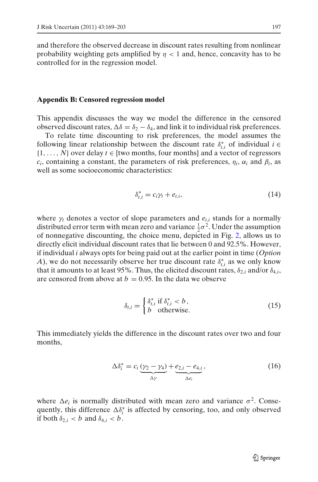<span id="page-28-0"></span>and therefore the observed decrease in discount rates resulting from nonlinear probability weighting gets amplified by  $\eta$  < 1 and, hence, concavity has to be controlled for in the regression model.

#### **Appendix B: Censored regression model**

This appendix discusses the way we model the difference in the censored observed discount rates,  $\Delta \delta = \delta_2 - \delta_4$ , and link it to individual risk preferences.

To relate time discounting to risk preferences, the model assumes the following linear relationship between the discount rate  $\delta_{t,i}^*$  of individual  $i \in$  $\{1, \ldots, N\}$  over delay  $t \in \{$ two months, four months} and a vector of regressors *ci*, containing a constant, the parameters of risk preferences, η*i*, α*<sup>i</sup>* and β*i*, as well as some socioeconomic characteristics:

$$
\delta_{t,i}^* = c_i \gamma_t + e_{t,i},\tag{14}
$$

where  $\gamma_t$  denotes a vector of slope parameters and  $e_{t,i}$  stands for a normally distributed error term with mean zero and variance  $\frac{1}{2}\sigma^2$ . Under the assumption of nonnegative discounting, the choice menu, depicted in Fig. [2,](#page-8-0) allows us to directly elicit individual discount rates that lie between 0 and 92.5%. However, if individual *i* always opts for being paid out at the earlier point in time (*Option A*), we do not necessarily observe her true discount rate  $\delta_{t,i}^*$  as we only know that it amounts to at least 95%. Thus, the elicited discount rates,  $\delta_{2,i}$  and/or  $\delta_{4,i}$ , are censored from above at  $b = 0.95$ . In the data we observe

$$
\delta_{t,i} = \begin{cases} \delta_{t,i}^* & \text{if } \delta_{t,i}^* < b, \\ b & \text{otherwise.} \end{cases} \tag{15}
$$

This immediately yields the difference in the discount rates over two and four months,

$$
\Delta \delta_i^* = c_i \underbrace{(\gamma_2 - \gamma_4)}_{\Delta \gamma} + \underbrace{e_{2,i} - e_{4,i}}_{\Delta e_i},
$$
\n(16)

where  $\Delta e_i$  is normally distributed with mean zero and variance  $\sigma^2$ . Consequently, this difference  $\Delta \delta_i^*$  is affected by censoring, too, and only observed if both  $\delta_{2,i} < b$  and  $\delta_{4,i} < b$ .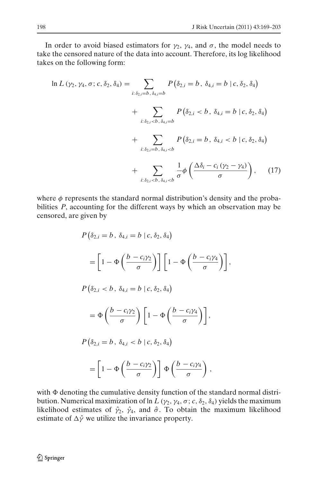In order to avoid biased estimators for  $\gamma_2$ ,  $\gamma_4$ , and  $\sigma$ , the model needs to take the censored nature of the data into account. Therefore, its log likelihood takes on the following form:

$$
\ln L(\gamma_2, \gamma_4, \sigma; c, \delta_2, \delta_4) = \sum_{i:\delta_{2,i}=b,\ \delta_{4,i}=b} P(\delta_{2,i} = b, \ \delta_{4,i} = b \mid c, \delta_2, \delta_4)
$$
  
+ 
$$
\sum_{i:\delta_{2,i}  
+ 
$$
\sum_{i:\delta_{2,i}=b,\ \delta_{4,i}  
+ 
$$
\sum_{i:\delta_{2,i}
$$
$$
$$

where  $\phi$  represents the standard normal distribution's density and the probabilities *P*, accounting for the different ways by which an observation may be censored, are given by

$$
P(\delta_{2,i} = b, \delta_{4,i} = b \mid c, \delta_2, \delta_4)
$$
  
=  $\left[1 - \Phi\left(\frac{b - c_i \gamma_2}{\sigma}\right)\right] \left[1 - \Phi\left(\frac{b - c_i \gamma_4}{\sigma}\right)\right],$   

$$
P(\delta_{2,i} < b, \delta_{4,i} = b \mid c, \delta_2, \delta_4)
$$
  
=  $\Phi\left(\frac{b - c_i \gamma_2}{\sigma}\right) \left[1 - \Phi\left(\frac{b - c_i \gamma_4}{\sigma}\right)\right],$   

$$
P(\delta_{2,i} = b, \delta_{4,i} < b \mid c, \delta_2, \delta_4)
$$
  
=  $\left[1 - \Phi\left(\frac{b - c_i \gamma_2}{\sigma}\right)\right] \Phi\left(\frac{b - c_i \gamma_4}{\sigma}\right),$ 

with  $\Phi$  denoting the cumulative density function of the standard normal distribution. Numerical maximization of ln *L* ( $\gamma_2$ ,  $\gamma_4$ ,  $\sigma$ ; *c*,  $\delta_2$ ,  $\delta_4$ ) yields the maximum likelihood estimates of  $\hat{\gamma}_2$ ,  $\hat{\gamma}_4$ , and  $\hat{\sigma}$ . To obtain the maximum likelihood estimate of  $\Delta \hat{\gamma}$  we utilize the invariance property.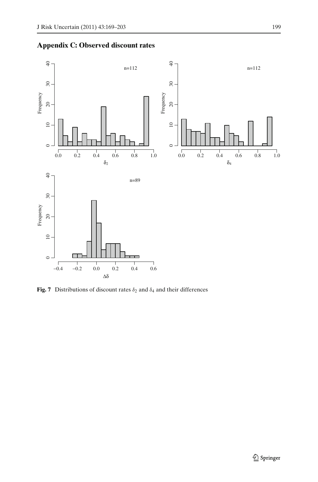<span id="page-30-0"></span>



**Fig. 7** Distributions of discount rates  $\delta_2$  and  $\delta_4$  and their differences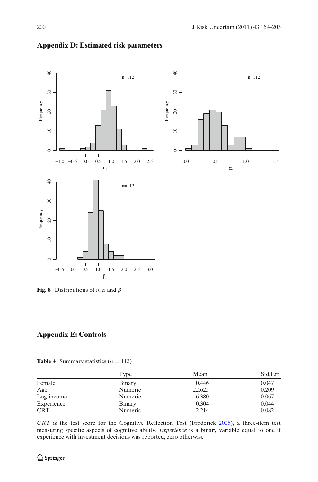n=112

٦

 $\alpha_i$ 



<span id="page-31-0"></span>

**Fig. 8** Distributions of  $\eta$ ,  $\alpha$  and  $\beta$ 

# **Appendix E: Controls**

|  | <b>Table 4</b> Summary statistics $(n = 112)$ |  |  |  |
|--|-----------------------------------------------|--|--|--|
|--|-----------------------------------------------|--|--|--|

|            | Type    | Mean   | Std.Err. |
|------------|---------|--------|----------|
| Female     | Binary  | 0.446  | 0.047    |
| Age        | Numeric | 22.625 | 0.209    |
| Log-income | Numeric | 6.380  | 0.067    |
| Experience | Binary  | 0.304  | 0.044    |
| <b>CRT</b> | Numeric | 2.214  | 0.082    |

*CRT* is the test score for the Cognitive Reflection Test (Frederic[k](#page-33-0) [2005\)](#page-33-0), a three-item test measuring specific aspects of cognitive ability. *Experience* is a binary variable equal to one if experience with investment decisions was reported, zero otherwise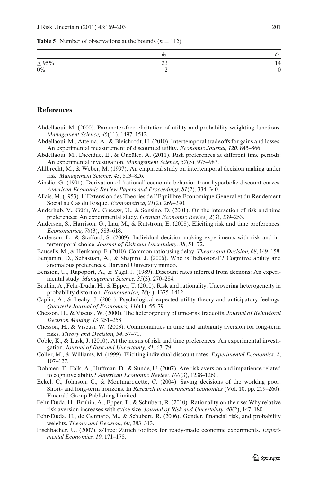<span id="page-32-0"></span>**Table 5** Number of observations at the bounds  $(n = 112)$ 

|                | σ              | 04     |
|----------------|----------------|--------|
| $\geq 95\%$ 0% | $\sim$<br>ں کے | 14     |
|                |                | $\sim$ |

# **References**

- Abdellaoui, M. (2000). Parameter-free elicitation of utility and probability weighting functions. *Management Science, 46*(11), 1497–1512.
- Abdellaoui, M., Attema, A., & Bleichrodt, H. (2010). Intertemporal tradeoffs for gains and losses: An experimental measurement of discounted utility. *Economic Journal, 120*, 845–866.
- Abdellaoui, M., Diecidue, E., & Öncüler, A. (2011). Risk preferences at different time periods: An experimental investigation. *Management Science, 57*(5), 975–987.
- Ahlbrecht, M., & Weber, M. (1997). An empirical study on intertemporal decision making under risk. *Management Science, 43*, 813–826.
- Ainslie, G. (1991). Derivation of 'rational' economic behavior from hyperbolic discount curves. *American Economic Review Papers and Proceedings, 81*(2), 334–340.
- Allais, M. (1953). L'Extension des Theories de l'Equilibre Economique General et du Rendement Social au Cas du Risque. *Econometrica, 21*(2), 269–290.
- Anderhub, V., Güth, W., Gneezy, U., & Sonsino, D. (2001). On the interaction of risk and time preferences: An experimental study. *German Economic Review, 2*(3), 239–253.
- Andersen, S., Harrison, G., Lau, M., & Rutström, E. (2008). Eliciting risk and time preferences. *Econometrica, 76*(3), 583–618.
- Anderson, L., & Stafford, S. (2009). Individual decision-making experiments with risk and intertemporal choice. *Journal of Risk and Uncertainty, 38*, 51–72.
- Baucells, M., & Heukamp, F. (2010). Common ratio using delay. *Theory and Decision, 68*, 149–158.
- Benjamin, D., Sebastian, A., & Shapiro, J. (2006). Who is 'behavioral'? Cognitive ability and anomalous preferences. Harvard University mimeo.
- Benzion, U., Rapoport, A., & Yagil, J. (1989). Discount rates inferred from deciions: An experimental study. *Management Science, 35*(3), 270–284.
- Bruhin, A., Fehr-Duda, H., & Epper, T. (2010). Risk and rationality: Uncovering heterogeneity in probability distortion. *Econometrica, 78*(4), 1375–1412.
- Caplin, A., & Leahy, J. (2001). Psychological expected utility theory and anticipatory feelings. *Quarterly Journal of Economics, 116*(1), 55–79.
- Chesson, H., & Viscusi, W. (2000). The heterogeneity of time-risk tradeoffs. *Journal of Behavioral Decision Making, 13*, 251–258.
- Chesson, H., & Viscusi, W. (2003). Commonalities in time and ambiguity aversion for long-term risks. *Theory and Decision, 54*, 57–71.
- Coble, K., & Lusk, J. (2010). At the nexus of risk and time preferences: An experimental investigation. *Journal of Risk and Uncertainty, 41*, 67–79.
- Coller, M., & Williams, M. (1999). Eliciting individual discount rates. *Experimental Economics, 2*, 107–127.
- Dohmen, T., Falk, A., Huffman, D., & Sunde, U. (2007). Are risk aversion and impatience related to cognitive ability? *American Economic Review, 100*(3), 1238–1260.
- Eckel, C., Johnson, C., & Montmarquette, C. (2004). Saving decisions of the working poor: Short- and long-term horizons. In *Research in experimental economics* (Vol. 10, pp. 219–260). Emerald Group Publishing Limited.
- Fehr-Duda, H., Bruhin, A., Epper, T., & Schubert, R. (2010). Rationality on the rise: Why relative risk aversion increases with stake size. *Journal of Risk and Uncertainty, 40*(2), 147–180.
- Fehr-Duda, H., de Gennaro, M., & Schubert, R. (2006). Gender, financial risk, and probability weights. *Theory and Decision, 60*, 283–313.
- Fischbacher, U. (2007). z-Tree: Zurich toolbox for ready-made economic experiments. *Experimental Economics, 10*, 171–178.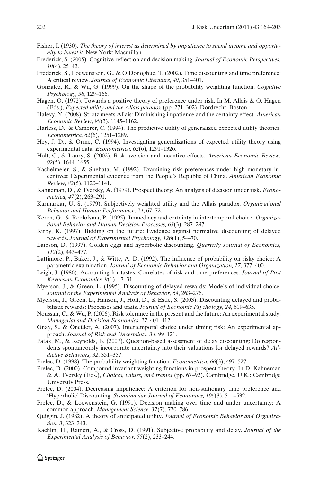- <span id="page-33-0"></span>Fisher, I. (1930). *The theory of interest as determined by impatience to spend income and opportunity to invest it*. New York: Macmillan.
- Frederick, S. (2005). Cognitive reflection and decision making. *Journal of Economic Perspectives, 19*(4), 25–42.
- Frederick, S., Loewenstein, G., & O'Donoghue, T. (2002). Time discounting and time preference: A critical review. *Journal of Economic Literature, 40*, 351–401.
- Gonzalez, R., & Wu, G. (1999). On the shape of the probability weighting function. *Cognitive Psychology, 38*, 129–166.
- Hagen, O. (1972). Towards a positive theory of preference under risk. In M. Allais & O. Hagen (Eds.), *Expected utility and the Allais paradox* (pp. 271–302). Dordrecht, Boston.
- Halevy, Y. (2008). Strotz meets Allais: Diminishing impatience and the certainty effect. *American Economic Review, 98*(3), 1145–1162.
- Harless, D., & Camerer, C. (1994). The predictive utility of generalized expected utility theories. *Econometrica, 62*(6), 1251–1289.
- Hey, J. D., & Orme, C. (1994). Investigating generalizations of expected utility theory using experimental data. *Econometrica, 62*(6), 1291–1326.
- Holt, C., & Laury, S. (2002). Risk aversion and incentive effects. *American Economic Review, 92*(5), 1644–1655.
- Kachelmeier, S., & Shehata, M. (1992). Examining risk preferences under high monetary incentives: Experimental evidence from the People's Republic of China. *American Economic Review, 82*(5), 1120–1141.
- Kahneman, D., & Tversky, A. (1979). Prospect theory: An analysis of decision under risk. *Econometrica, 47*(2), 263–291.
- Karmarkar, U. S. (1979). Subjectively weighted utility and the Allais paradox. *Organizational Behavior and Human Performance, 24*, 67–72.
- Keren, G., & Roelofsma, P. (1995). Immediacy and certainty in intertemporal choice. *Organizational Behavior and Human Decision Processes, 63*(3), 287–297.
- Kirby, K. (1997). Bidding on the future: Evidence against normative discounting of delayed rewards. *Journal of Experimental Psychology, 126*(1), 54–70.
- Laibson, D. (1997). Golden eggs and hyperbolic discounting. *Quarterly Journal of Economics, 112*(2), 443–477.
- Lattimore, P., Baker, J., & Witte, A. D. (1992). The influence of probability on risky choice: A parametric examination. *Journal of Economic Behavior and Organization, 17*, 377–400.
- Leigh, J. (1986). Accounting for tastes: Correlates of risk and time preferences. *Journal of Post Keynesian Economics, 9*(1), 17–31.
- Myerson, J., & Green, L. (1995). Discounting of delayed rewards: Models of individual choice. *Journal of the Experimental Analysis of Behavior, 64*, 263–276.
- Myerson, J., Green, L., Hanson, J., Holt, D., & Estle, S. (2003). Discounting delayed and probabilistic rewards: Processes and traits. *Journal of Economic Psychology, 24*, 619–635.
- Noussair, C., & Wu, P. (2006). Risk tolerance in the present and the future: An experimental study. *Managerial and Decision Economics, 27*, 401–412.
- Onay, S., & Öncüler, A. (2007). Intertemporal choice under timing risk: An experimental approach. *Journal of Risk and Uncertainty, 34*, 99–121.
- Patak, M., & Reynolds, B. (2007). Question-based assessment of delay discounting: Do respondents spontaneously incorporate uncertainty into their valuations for delayed rewards? *Addictive Behaviors, 32*, 351–357.
- Prelec, D. (1998). The probability weighting function. *Econometrica, 66*(3), 497–527.
- Prelec, D. (2000). Compound invariant weighting functions in prospect theory. In D. Kahneman & A. Tversky (Eds.), *Choices, values, and frames* (pp. 67–92). Cambridge, U.K.: Cambridge University Press.
- Prelec, D. (2004). Decreasing impatience: A criterion for non-stationary time preference and 'Hyperbolic' Discounting. *Scandinavian Journal of Economics, 106*(3), 511–532.
- Prelec, D., & Loewenstein, G. (1991). Decision making over time and under uncertainty: A common approach. *Management Science, 37*(7), 770–786.
- Quiggin, J. (1982). A theory of anticipated utility. *Journal of Economic Behavior and Organization, 3*, 323–343.
- Rachlin, H., Raineri, A., & Cross, D. (1991). Subjective probability and delay. *Journal of the Experimental Analysis of Behavior, 55*(2), 233–244.